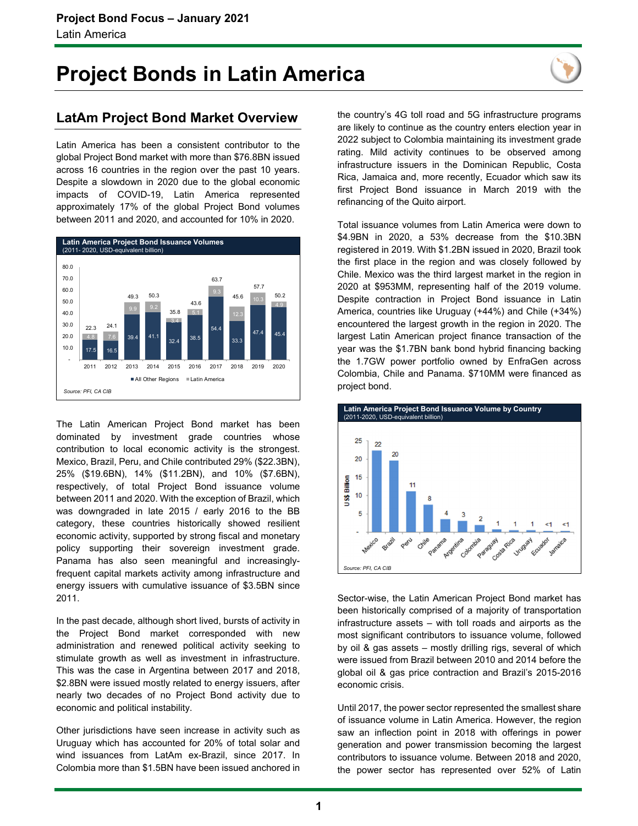## **Project Bonds in Latin America**



### **LatAm Project Bond Market Overview**

Latin America has been a consistent contributor to the global Project Bond market with more than \$76.8BN issued across 16 countries in the region over the past 10 years. Despite a slowdown in 2020 due to the global economic impacts of COVID-19, Latin America represented approximately 17% of the global Project Bond volumes between 2011 and 2020, and accounted for 10% in 2020.



The Latin American Project Bond market has been dominated by investment grade countries whose contribution to local economic activity is the strongest. Mexico, Brazil, Peru, and Chile contributed 29% (\$22.3BN), 25% (\$19.6BN), 14% (\$11.2BN), and 10% (\$7.6BN), respectively, of total Project Bond issuance volume between 2011 and 2020. With the exception of Brazil, which was downgraded in late 2015 / early 2016 to the BB category, these countries historically showed resilient economic activity, supported by strong fiscal and monetary policy supporting their sovereign investment grade. Panama has also seen meaningful and increasinglyfrequent capital markets activity among infrastructure and energy issuers with cumulative issuance of \$3.5BN since 2011.

In the past decade, although short lived, bursts of activity in the Project Bond market corresponded with new administration and renewed political activity seeking to stimulate growth as well as investment in infrastructure. This was the case in Argentina between 2017 and 2018, \$2.8BN were issued mostly related to energy issuers, after nearly two decades of no Project Bond activity due to economic and political instability.

Other jurisdictions have seen increase in activity such as Uruguay which has accounted for 20% of total solar and wind issuances from LatAm ex-Brazil, since 2017. In Colombia more than \$1.5BN have been issued anchored in

the country's 4G toll road and 5G infrastructure programs are likely to continue as the country enters election year in 2022 subject to Colombia maintaining its investment grade rating. Mild activity continues to be observed among infrastructure issuers in the Dominican Republic, Costa Rica, Jamaica and, more recently, Ecuador which saw its first Project Bond issuance in March 2019 with the refinancing of the Quito airport.

Total issuance volumes from Latin America were down to \$4.9BN in 2020, a 53% decrease from the \$10.3BN registered in 2019. With \$1.2BN issued in 2020, Brazil took the first place in the region and was closely followed by Chile. Mexico was the third largest market in the region in 2020 at \$953MM, representing half of the 2019 volume. Despite contraction in Project Bond issuance in Latin America, countries like Uruguay (+44%) and Chile (+34%) encountered the largest growth in the region in 2020. The largest Latin American project finance transaction of the year was the \$1.7BN bank bond hybrid financing backing the 1.7GW power portfolio owned by EnfraGen across Colombia, Chile and Panama. \$710MM were financed as project bond.



Sector-wise, the Latin American Project Bond market has been historically comprised of a majority of transportation infrastructure assets – with toll roads and airports as the most significant contributors to issuance volume, followed by oil & gas assets – mostly drilling rigs, several of which were issued from Brazil between 2010 and 2014 before the global oil & gas price contraction and Brazil's 2015-2016 economic crisis.

Until 2017, the power sector represented the smallest share of issuance volume in Latin America. However, the region saw an inflection point in 2018 with offerings in power generation and power transmission becoming the largest contributors to issuance volume. Between 2018 and 2020, the power sector has represented over 52% of Latin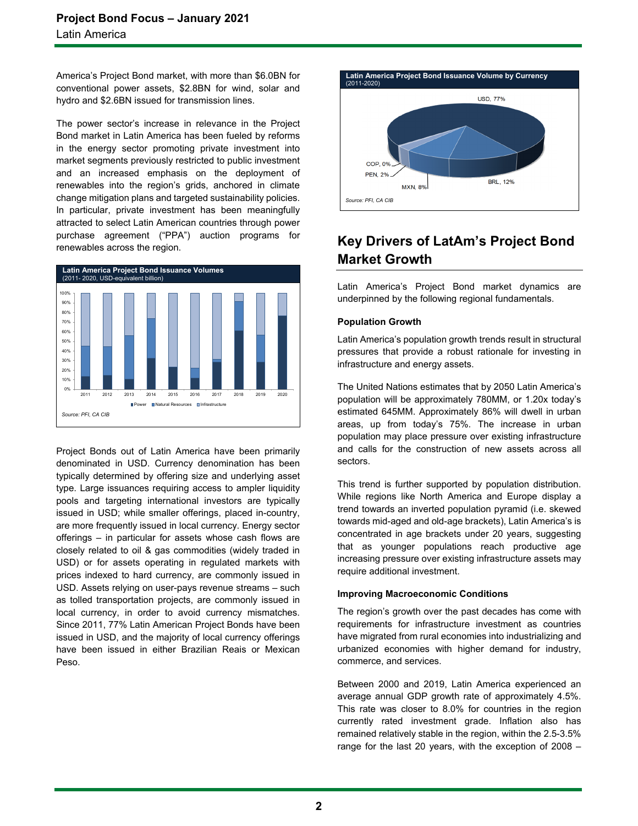America's Project Bond market, with more than \$6.0BN for conventional power assets, \$2.8BN for wind, solar and hydro and \$2.6BN issued for transmission lines.

The power sector's increase in relevance in the Project Bond market in Latin America has been fueled by reforms in the energy sector promoting private investment into market segments previously restricted to public investment and an increased emphasis on the deployment of renewables into the region's grids, anchored in climate change mitigation plans and targeted sustainability policies. In particular, private investment has been meaningfully attracted to select Latin American countries through power purchase agreement ("PPA") auction programs for renewables across the region.



Project Bonds out of Latin America have been primarily denominated in USD. Currency denomination has been typically determined by offering size and underlying asset type. Large issuances requiring access to ampler liquidity pools and targeting international investors are typically issued in USD; while smaller offerings, placed in-country, are more frequently issued in local currency. Energy sector offerings – in particular for assets whose cash flows are closely related to oil & gas commodities (widely traded in USD) or for assets operating in regulated markets with prices indexed to hard currency, are commonly issued in USD. Assets relying on user-pays revenue streams – such as tolled transportation projects, are commonly issued in local currency, in order to avoid currency mismatches. Since 2011, 77% Latin American Project Bonds have been issued in USD, and the majority of local currency offerings have been issued in either Brazilian Reais or Mexican Peso.



### **Key Drivers of LatAm's Project Bond Market Growth**

Latin America's Project Bond market dynamics are underpinned by the following regional fundamentals.

### **Population Growth**

Latin America's population growth trends result in structural pressures that provide a robust rationale for investing in infrastructure and energy assets.

The United Nations estimates that by 2050 Latin America's population will be approximately 780MM, or 1.20x today's estimated 645MM. Approximately 86% will dwell in urban areas, up from today's 75%. The increase in urban population may place pressure over existing infrastructure and calls for the construction of new assets across all sectors.

This trend is further supported by population distribution. While regions like North America and Europe display a trend towards an inverted population pyramid (i.e. skewed towards mid-aged and old-age brackets), Latin America's is concentrated in age brackets under 20 years, suggesting that as younger populations reach productive age increasing pressure over existing infrastructure assets may require additional investment.

### **Improving Macroeconomic Conditions**

The region's growth over the past decades has come with requirements for infrastructure investment as countries have migrated from rural economies into industrializing and urbanized economies with higher demand for industry, commerce, and services.

Between 2000 and 2019, Latin America experienced an average annual GDP growth rate of approximately 4.5%. This rate was closer to 8.0% for countries in the region currently rated investment grade. Inflation also has remained relatively stable in the region, within the 2.5-3.5% range for the last 20 years, with the exception of 2008 –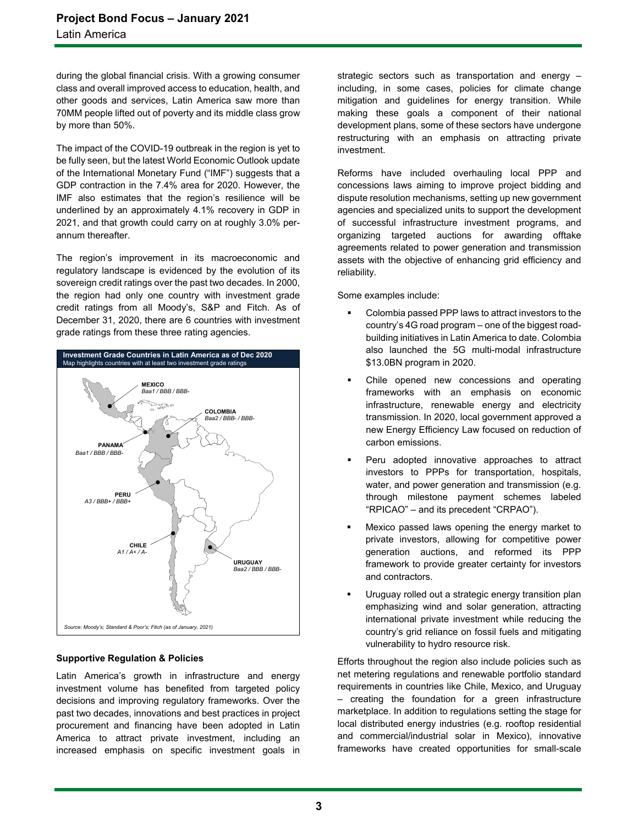during the global financial crisis. With a growing consumer class and overall improved access to education, health, and other goods and services, Latin America saw more than 70MM people lifted out of poverty and its middle class grow by more than 50%.

The impact of the COVID-19 outbreak in the region is yet to be fully seen, but the latest World Economic Outlook update of the International Monetary Fund ("IMF") suggests that a GDP contraction in the 7.4% area for 2020. However, the IMF also estimates that the region's resilience will be underlined by an approximately 4.1% recovery in GDP in 2021, and that growth could carry on at roughly 3.0% perannum thereafter.

The region's improvement in its macroeconomic and regulatory landscape is evidenced by the evolution of its sovereign credit ratings over the past two decades. In 2000, the region had only one country with investment grade credit ratings from all Moody's, S&P and Fitch. As of December 31, 2020, there are 6 countries with investment grade ratings from these three rating agencies.



### **Supportive Regulation & Policies**

Latin America's growth in infrastructure and energy investment volume has benefited from targeted policy decisions and improving regulatory frameworks. Over the past two decades, innovations and best practices in project procurement and financing have been adopted in Latin America to attract private investment, including an increased emphasis on specific investment goals in

strategic sectors such as transportation and energy – including, in some cases, policies for climate change mitigation and guidelines for energy transition. While making these goals a component of their national development plans, some of these sectors have undergone restructuring with an emphasis on attracting private investment.

Reforms have included overhauling local PPP and concessions laws aiming to improve project bidding and dispute resolution mechanisms, setting up new government agencies and specialized units to support the development of successful infrastructure investment programs, and organizing targeted auctions for awarding offtake agreements related to power generation and transmission assets with the objective of enhancing grid efficiency and reliability.

Some examples include:

- Colombia passed PPP laws to attract investors to the country's 4G road program – one of the biggest roadbuilding initiatives in Latin America to date. Colombia also launched the 5G multi-modal infrastructure \$13.0BN program in 2020.
- Chile opened new concessions and operating frameworks with an emphasis on economic infrastructure, renewable energy and electricity transmission. In 2020, local government approved a new Energy Efficiency Law focused on reduction of carbon emissions.
- Peru adopted innovative approaches to attract investors to PPPs for transportation, hospitals, water, and power generation and transmission (e.g. through milestone payment schemes labeled "RPICAO" – and its precedent "CRPAO").
- Mexico passed laws opening the energy market to private investors, allowing for competitive power generation auctions, and reformed its PPP framework to provide greater certainty for investors and contractors.
- Uruguay rolled out a strategic energy transition plan emphasizing wind and solar generation, attracting international private investment while reducing the country's grid reliance on fossil fuels and mitigating vulnerability to hydro resource risk.

Efforts throughout the region also include policies such as net metering regulations and renewable portfolio standard requirements in countries like Chile, Mexico, and Uruguay – creating the foundation for a green infrastructure marketplace. In addition to regulations setting the stage for local distributed energy industries (e.g. rooftop residential and commercial/industrial solar in Mexico), innovative frameworks have created opportunities for small-scale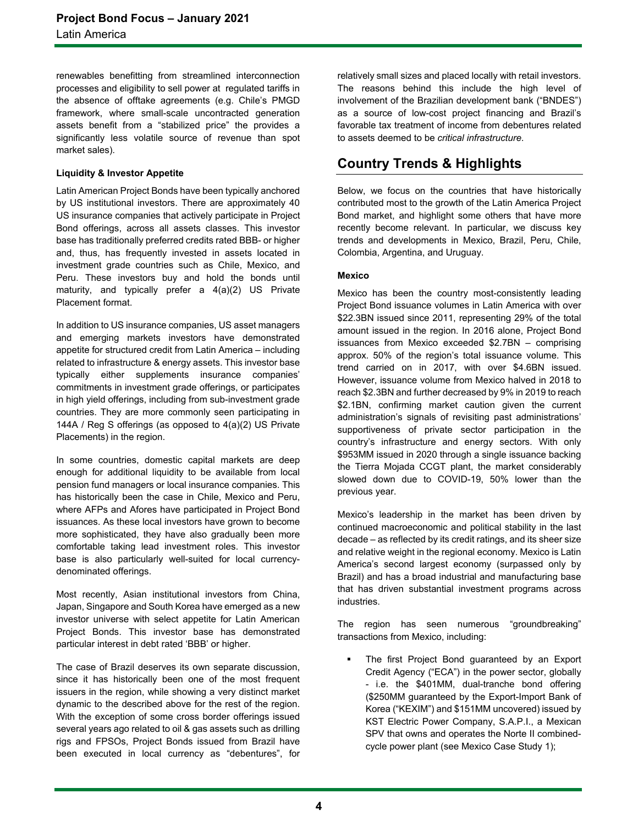renewables benefitting from streamlined interconnection processes and eligibility to sell power at regulated tariffs in the absence of offtake agreements (e.g. Chile's PMGD framework, where small-scale uncontracted generation assets benefit from a "stabilized price" the provides a significantly less volatile source of revenue than spot market sales).

### **Liquidity & Investor Appetite**

Latin American Project Bonds have been typically anchored by US institutional investors. There are approximately 40 US insurance companies that actively participate in Project Bond offerings, across all assets classes. This investor base has traditionally preferred credits rated BBB- or higher and, thus, has frequently invested in assets located in investment grade countries such as Chile, Mexico, and Peru. These investors buy and hold the bonds until maturity, and typically prefer a 4(a)(2) US Private Placement format.

In addition to US insurance companies, US asset managers and emerging markets investors have demonstrated appetite for structured credit from Latin America – including related to infrastructure & energy assets. This investor base typically either supplements insurance companies' commitments in investment grade offerings, or participates in high yield offerings, including from sub-investment grade countries. They are more commonly seen participating in 144A / Reg S offerings (as opposed to 4(a)(2) US Private Placements) in the region.

In some countries, domestic capital markets are deep enough for additional liquidity to be available from local pension fund managers or local insurance companies. This has historically been the case in Chile, Mexico and Peru, where AFPs and Afores have participated in Project Bond issuances. As these local investors have grown to become more sophisticated, they have also gradually been more comfortable taking lead investment roles. This investor base is also particularly well-suited for local currencydenominated offerings.

Most recently, Asian institutional investors from China, Japan, Singapore and South Korea have emerged as a new investor universe with select appetite for Latin American Project Bonds. This investor base has demonstrated particular interest in debt rated 'BBB' or higher.

The case of Brazil deserves its own separate discussion, since it has historically been one of the most frequent issuers in the region, while showing a very distinct market dynamic to the described above for the rest of the region. With the exception of some cross border offerings issued several years ago related to oil & gas assets such as drilling rigs and FPSOs, Project Bonds issued from Brazil have been executed in local currency as "debentures", for relatively small sizes and placed locally with retail investors. The reasons behind this include the high level of involvement of the Brazilian development bank ("BNDES") as a source of low-cost project financing and Brazil's favorable tax treatment of income from debentures related to assets deemed to be *critical infrastructure*.

### **Country Trends & Highlights**

Below, we focus on the countries that have historically contributed most to the growth of the Latin America Project Bond market, and highlight some others that have more recently become relevant. In particular, we discuss key trends and developments in Mexico, Brazil, Peru, Chile, Colombia, Argentina, and Uruguay.

### **Mexico**

Mexico has been the country most-consistently leading Project Bond issuance volumes in Latin America with over \$22.3BN issued since 2011, representing 29% of the total amount issued in the region. In 2016 alone, Project Bond issuances from Mexico exceeded \$2.7BN – comprising approx. 50% of the region's total issuance volume. This trend carried on in 2017, with over \$4.6BN issued. However, issuance volume from Mexico halved in 2018 to reach \$2.3BN and further decreased by 9% in 2019 to reach \$2.1BN, confirming market caution given the current administration's signals of revisiting past administrations' supportiveness of private sector participation in the country's infrastructure and energy sectors. With only \$953MM issued in 2020 through a single issuance backing the Tierra Mojada CCGT plant, the market considerably slowed down due to COVID-19, 50% lower than the previous year.

Mexico's leadership in the market has been driven by continued macroeconomic and political stability in the last decade – as reflected by its credit ratings, and its sheer size and relative weight in the regional economy. Mexico is Latin America's second largest economy (surpassed only by Brazil) and has a broad industrial and manufacturing base that has driven substantial investment programs across industries.

The region has seen numerous "groundbreaking" transactions from Mexico, including:

 The first Project Bond guaranteed by an Export Credit Agency ("ECA") in the power sector, globally - i.e. the \$401MM, dual-tranche bond offering (\$250MM guaranteed by the Export-Import Bank of Korea ("KEXIM") and \$151MM uncovered) issued by KST Electric Power Company, S.A.P.I., a Mexican SPV that owns and operates the Norte II combinedcycle power plant (see Mexico Case Study 1);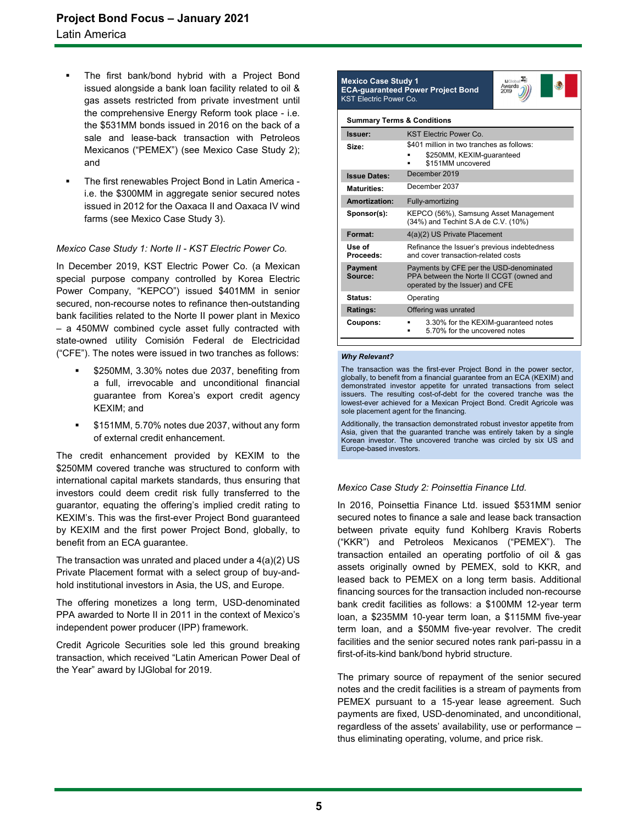- The first bank/bond hybrid with a Project Bond issued alongside a bank loan facility related to oil & gas assets restricted from private investment until the comprehensive Energy Reform took place - i.e. the \$531MM bonds issued in 2016 on the back of a sale and lease-back transaction with Petroleos Mexicanos ("PEMEX") (see Mexico Case Study 2); and
- The first renewables Project Bond in Latin America i.e. the \$300MM in aggregate senior secured notes issued in 2012 for the Oaxaca II and Oaxaca IV wind farms (see Mexico Case Study 3).

### *Mexico Case Study 1: Norte II - KST Electric Power Co.*

In December 2019, KST Electric Power Co. (a Mexican special purpose company controlled by Korea Electric Power Company, "KEPCO") issued \$401MM in senior secured, non-recourse notes to refinance then-outstanding bank facilities related to the Norte II power plant in Mexico – a 450MW combined cycle asset fully contracted with state-owned utility Comisión Federal de Electricidad ("CFE"). The notes were issued in two tranches as follows:

- \$250MM, 3.30% notes due 2037, benefiting from a full, irrevocable and unconditional financial guarantee from Korea's export credit agency KEXIM; and
- \$151MM, 5.70% notes due 2037, without any form of external credit enhancement.

The credit enhancement provided by KEXIM to the \$250MM covered tranche was structured to conform with international capital markets standards, thus ensuring that investors could deem credit risk fully transferred to the guarantor, equating the offering's implied credit rating to KEXIM's. This was the first-ever Project Bond guaranteed by KEXIM and the first power Project Bond, globally, to benefit from an ECA guarantee.

The transaction was unrated and placed under a 4(a)(2) US Private Placement format with a select group of buy-andhold institutional investors in Asia, the US, and Europe.

The offering monetizes a long term, USD-denominated PPA awarded to Norte II in 2011 in the context of Mexico's independent power producer (IPP) framework.

Credit Agricole Securities sole led this ground breaking transaction, which received "Latin American Power Deal of the Year" award by IJGlobal for 2019.

#### **Mexico Case Study 1 ECA-guaranteed Power Project Bond**  KST Electric Power Co.



| Issuer:                   | <b>KST Electric Power Co.</b>                                                                                          |
|---------------------------|------------------------------------------------------------------------------------------------------------------------|
| Size:                     | \$401 million in two tranches as follows:                                                                              |
|                           | \$250MM, KEXIM-guaranteed<br>\$151MM uncovered                                                                         |
| <b>Issue Dates:</b>       | December 2019                                                                                                          |
| <b>Maturities:</b>        | December 2037                                                                                                          |
| Amortization:             | Fully-amortizing                                                                                                       |
| Sponsor(s):               | KEPCO (56%), Samsung Asset Management<br>(34%) and Techint S.A de C.V. (10%)                                           |
| Format:                   | 4(a)(2) US Private Placement                                                                                           |
| Use of<br>Proceeds:       | Refinance the Issuer's previous indebtedness<br>and cover transaction-related costs                                    |
| <b>Payment</b><br>Source: | Payments by CFE per the USD-denominated<br>PPA between the Norte II CCGT (owned and<br>operated by the Issuer) and CFE |
| Status:                   | Operating                                                                                                              |
| Ratings:                  | Offering was unrated                                                                                                   |
| Coupons:                  | 3.30% for the KEXIM-quaranteed notes<br>5.70% for the uncovered notes                                                  |

#### *Why Relevant?*

The transaction was the first-ever Project Bond in the power sector, globally, to benefit from a financial guarantee from an ECA (KEXIM) and demonstrated investor appetite for unrated transactions from select issuers. The resulting cost-of-debt for the covered tranche was the lowest-ever achieved for a Mexican Project Bond. Credit Agricole was sole placement agent for the financing.

Additionally, the transaction demonstrated robust investor appetite from Asia, given that the guaranted tranche was entirely taken by a single Korean investor. The uncovered tranche was circled by six US and Europe-based investors.

### *Mexico Case Study 2: Poinsettia Finance Ltd.*

In 2016, Poinsettia Finance Ltd. issued \$531MM senior secured notes to finance a sale and lease back transaction between private equity fund Kohlberg Kravis Roberts ("KKR") and Petroleos Mexicanos ("PEMEX"). The transaction entailed an operating portfolio of oil & gas assets originally owned by PEMEX, sold to KKR, and leased back to PEMEX on a long term basis. Additional financing sources for the transaction included non-recourse bank credit facilities as follows: a \$100MM 12-year term loan, a \$235MM 10-year term loan, a \$115MM five-year term loan, and a \$50MM five-year revolver. The credit facilities and the senior secured notes rank pari-passu in a first-of-its-kind bank/bond hybrid structure.

The primary source of repayment of the senior secured notes and the credit facilities is a stream of payments from PEMEX pursuant to a 15-year lease agreement. Such payments are fixed, USD-denominated, and unconditional, regardless of the assets' availability, use or performance – thus eliminating operating, volume, and price risk.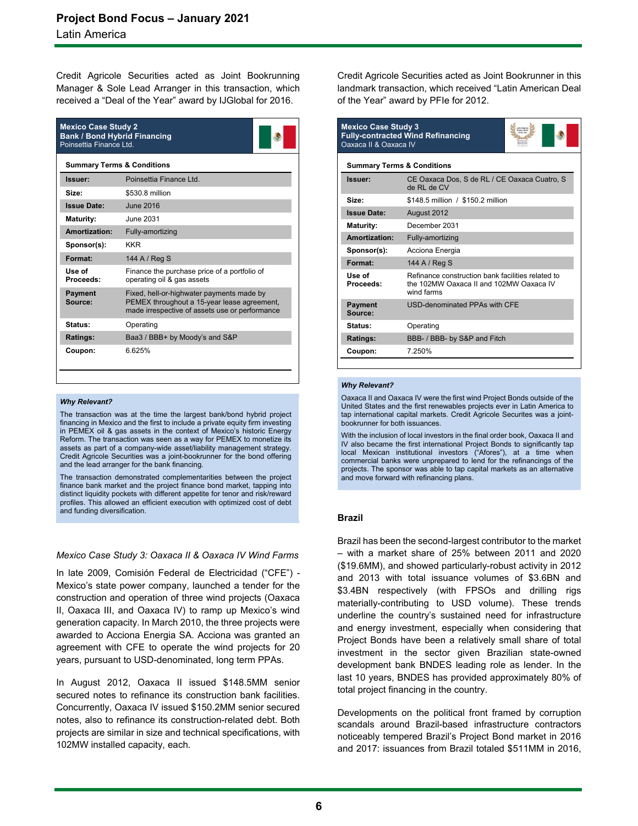Credit Agricole Securities acted as Joint Bookrunning Manager & Sole Lead Arranger in this transaction, which received a "Deal of the Year" award by IJGlobal for 2016.

| <b>Mexico Case Study 2</b><br><b>Bank / Bond Hybrid Financing</b><br>Poinsettia Finance Ltd. |                                                                                                                                            |  |
|----------------------------------------------------------------------------------------------|--------------------------------------------------------------------------------------------------------------------------------------------|--|
| <b>Summary Terms &amp; Conditions</b>                                                        |                                                                                                                                            |  |
| Issuer:                                                                                      | Poinsettia Finance Ltd.                                                                                                                    |  |
| Size:                                                                                        | \$530.8 million                                                                                                                            |  |
| <b>Issue Date:</b>                                                                           | June 2016                                                                                                                                  |  |
| <b>Maturity:</b>                                                                             | June 2031                                                                                                                                  |  |
| Amortization:                                                                                | Fully-amortizing                                                                                                                           |  |
| Sponsor(s):                                                                                  | <b>KKR</b>                                                                                                                                 |  |
| Format:                                                                                      | 144 A / Reg S                                                                                                                              |  |
| Use of<br>Proceeds:                                                                          | Finance the purchase price of a portfolio of<br>operating oil & gas assets                                                                 |  |
| <b>Payment</b><br>Source:                                                                    | Fixed, hell-or-highwater payments made by<br>PEMEX throughout a 15-year lease agreement,<br>made irrespective of assets use or performance |  |
| Status:                                                                                      | Operating                                                                                                                                  |  |
| Ratings:                                                                                     | Baa3 / BBB+ by Moody's and S&P                                                                                                             |  |
| Coupon:                                                                                      | 6.625%                                                                                                                                     |  |

#### *Why Relevant?*

The transaction was at the time the largest bank/bond hybrid project financing in Mexico and the first to include a private equity firm investing in PEMEX oil & gas assets in the context of Mexico's historic Energy Reform. The transaction was seen as a way for PEMEX to monetize its assets as part of a company-wide asset/liability management strategy. Credit Agricole Securities was a joint-bookrunner for the bond offering and the lead arranger for the bank financing.

The transaction demonstrated complementarities between the project finance bank market and the project finance bond market, tapping into distinct liquidity pockets with different appetite for tenor and risk/reward profiles. This allowed an efficient execution with optimized cost of debt and funding diversification.

### *Mexico Case Study 3: Oaxaca II & Oaxaca IV Wind Farms*

In late 2009, Comisión Federal de Electricidad ("CFE") - Mexico's state power company, launched a tender for the construction and operation of three wind projects (Oaxaca II, Oaxaca III, and Oaxaca IV) to ramp up Mexico's wind generation capacity. In March 2010, the three projects were awarded to Acciona Energia SA. Acciona was granted an agreement with CFE to operate the wind projects for 20 years, pursuant to USD-denominated, long term PPAs.

In August 2012, Oaxaca II issued \$148.5MM senior secured notes to refinance its construction bank facilities. Concurrently, Oaxaca IV issued \$150.2MM senior secured notes, also to refinance its construction-related debt. Both projects are similar in size and technical specifications, with 102MW installed capacity, each.

Credit Agricole Securities acted as Joint Bookrunner in this landmark transaction, which received "Latin American Deal of the Year" award by PFIe for 2012.

| <b>Mexico Case Study 3</b><br><b>Fully-contracted Wind Refinancing</b><br>Oaxaca II & Oaxaca IV |                                                                                                            |  |  |
|-------------------------------------------------------------------------------------------------|------------------------------------------------------------------------------------------------------------|--|--|
|                                                                                                 | <b>Summary Terms &amp; Conditions</b>                                                                      |  |  |
| Issuer:                                                                                         | CE Oaxaca Dos, S de RL / CE Oaxaca Cuatro, S<br>de RL de CV                                                |  |  |
| Size:                                                                                           | \$148.5 million / \$150.2 million                                                                          |  |  |
| <b>Issue Date:</b>                                                                              | August 2012                                                                                                |  |  |
| <b>Maturity:</b>                                                                                | December 2031                                                                                              |  |  |
| Amortization:                                                                                   | Fully-amortizing                                                                                           |  |  |
| Sponsor(s):                                                                                     | Acciona Energia                                                                                            |  |  |
| Format:                                                                                         | 144 A / Rea S                                                                                              |  |  |
| Use of<br>Proceeds:                                                                             | Refinance construction bank facilities related to<br>the 102MW Oaxaca II and 102MW Oaxaca IV<br>wind farms |  |  |
| <b>Payment</b><br>Source:                                                                       | <b>USD-denominated PPAs with CFF</b>                                                                       |  |  |
| Status:                                                                                         | Operating                                                                                                  |  |  |
| Ratings:                                                                                        | BBB- / BBB- by S&P and Fitch                                                                               |  |  |
| Coupon:                                                                                         | 7.250%                                                                                                     |  |  |
|                                                                                                 |                                                                                                            |  |  |

### *Why Relevant?*

Oaxaca II and Oaxaca IV were the first wind Project Bonds outside of the United States and the first renewables projects ever in Latin America to tap international capital markets. Credit Agricole Securites was a jointbookrunner for both issuances.

With the inclusion of local investors in the final order book, Oaxaca II and IV also became the first international Project Bonds to significantly tap local Mexican institutional investors ("Afores"), at a time when commercial banks were unprepared to lend for the refinancings of the projects. The sponsor was able to tap capital markets as an alternative and move forward with refinancing plans.

### **Brazil**

Brazil has been the second-largest contributor to the market – with a market share of 25% between 2011 and 2020 (\$19.6MM), and showed particularly-robust activity in 2012 and 2013 with total issuance volumes of \$3.6BN and \$3.4BN respectively (with FPSOs and drilling rigs materially-contributing to USD volume). These trends underline the country's sustained need for infrastructure and energy investment, especially when considering that Project Bonds have been a relatively small share of total investment in the sector given Brazilian state-owned development bank BNDES leading role as lender. In the last 10 years, BNDES has provided approximately 80% of total project financing in the country.

Developments on the political front framed by corruption scandals around Brazil-based infrastructure contractors noticeably tempered Brazil's Project Bond market in 2016 and 2017: issuances from Brazil totaled \$511MM in 2016,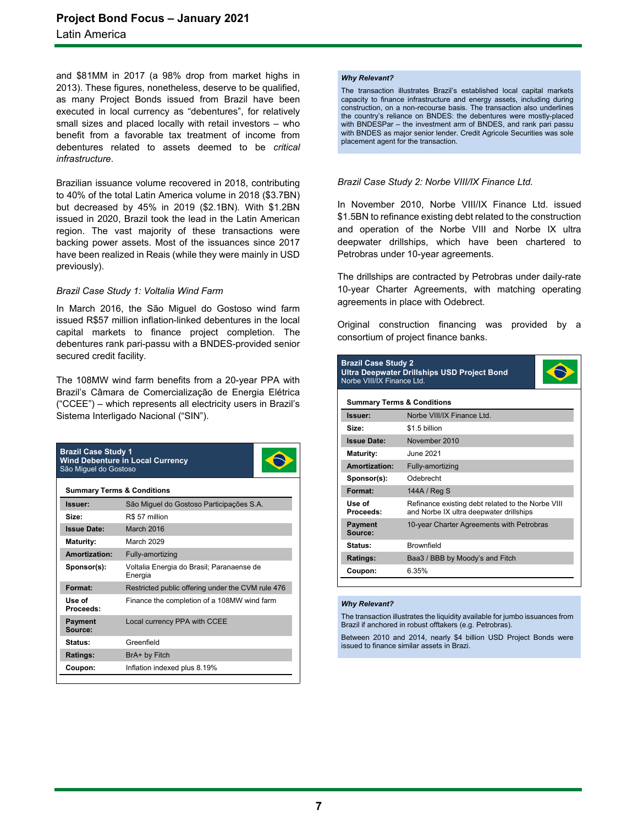and \$81MM in 2017 (a 98% drop from market highs in 2013). These figures, nonetheless, deserve to be qualified, as many Project Bonds issued from Brazil have been executed in local currency as "debentures", for relatively small sizes and placed locally with retail investors – who benefit from a favorable tax treatment of income from debentures related to assets deemed to be *critical infrastructure*.

Brazilian issuance volume recovered in 2018, contributing to 40% of the total Latin America volume in 2018 (\$3.7BN) but decreased by 45% in 2019 (\$2.1BN). With \$1.2BN issued in 2020, Brazil took the lead in the Latin American region. The vast majority of these transactions were backing power assets. Most of the issuances since 2017 have been realized in Reais (while they were mainly in USD previously).

### *Brazil Case Study 1: Voltalia Wind Farm*

In March 2016, the São Miguel do Gostoso wind farm issued R\$57 million inflation-linked debentures in the local capital markets to finance project completion. The debentures rank pari-passu with a BNDES-provided senior secured credit facility.

The 108MW wind farm benefits from a 20-year PPA with Brazil's Câmara de Comercialização de Energia Elétrica ("CCEE") – which represents all electricity users in Brazil's Sistema Interligado Nacional ("SIN").

| <b>Brazil Case Study 1</b><br><b>Wind Debenture in Local Currency</b><br>São Miguel do Gostoso |                                                      |  |
|------------------------------------------------------------------------------------------------|------------------------------------------------------|--|
| <b>Summary Terms &amp; Conditions</b>                                                          |                                                      |  |
| Issuer:                                                                                        | São Miquel do Gostoso Participações S.A.             |  |
| Size:                                                                                          | R\$ 57 million                                       |  |
| <b>Issue Date:</b>                                                                             | March 2016                                           |  |
| Maturity:                                                                                      | March 2029                                           |  |
| Amortization:                                                                                  | Fully-amortizing                                     |  |
| Sponsor(s):                                                                                    | Voltalia Energia do Brasil; Paranaense de<br>Energia |  |
| Format:                                                                                        | Restricted public offering under the CVM rule 476    |  |
| Use of<br>Proceeds:                                                                            | Finance the completion of a 108MW wind farm          |  |
| <b>Payment</b><br>Source:                                                                      | Local currency PPA with CCEE                         |  |
| Status:                                                                                        | Greenfield                                           |  |
| Ratings:                                                                                       | BrA+ by Fitch                                        |  |
| Coupon:                                                                                        | Inflation indexed plus 8.19%                         |  |

### *Why Relevant?*

The transaction illustrates Brazil's established local capital markets capacity to finance infrastructure and energy assets, including during construction, on a non-recourse basis. The transaction also underlines the country's reliance on BNDES: the debentures were mostly-placed with BNDESPar – the investment arm of BNDES, and rank pari passu with BNDES as major senior lender. Credit Agricole Securities was sole placement agent for the transaction.

### *Brazil Case Study 2: Norbe VIII/IX Finance Ltd.*

In November 2010, Norbe VIII/IX Finance Ltd. issued \$1.5BN to refinance existing debt related to the construction and operation of the Norbe VIII and Norbe IX ultra deepwater drillships, which have been chartered to Petrobras under 10-year agreements.

The drillships are contracted by Petrobras under daily-rate 10-year Charter Agreements, with matching operating agreements in place with Odebrect.

Original construction financing was provided by a consortium of project finance banks.

| <b>Brazil Case Study 2</b><br><b>Ultra Deepwater Drillships USD Project Bond</b><br>Norbe VIII/IX Finance Ltd. |                                                                                              |  |  |
|----------------------------------------------------------------------------------------------------------------|----------------------------------------------------------------------------------------------|--|--|
|                                                                                                                | <b>Summary Terms &amp; Conditions</b>                                                        |  |  |
| Issuer:                                                                                                        | Norbe VIII/IX Finance Ltd.                                                                   |  |  |
| Size:                                                                                                          | \$1.5 billion                                                                                |  |  |
| <b>Issue Date:</b>                                                                                             | November 2010                                                                                |  |  |
| Maturity:                                                                                                      | June 2021.                                                                                   |  |  |
| Amortization:                                                                                                  | Fully-amortizing                                                                             |  |  |
| Sponsor(s):                                                                                                    | Odebrecht                                                                                    |  |  |
| Format:                                                                                                        | 144A / Reg S                                                                                 |  |  |
| Use of<br>Proceeds:                                                                                            | Refinance existing debt related to the Norbe VIII<br>and Norbe IX ultra deepwater drillships |  |  |
| <b>Payment</b><br>Source:                                                                                      | 10-year Charter Agreements with Petrobras                                                    |  |  |
| Status:                                                                                                        | <b>Brownfield</b>                                                                            |  |  |
| Ratings:                                                                                                       | Baa3 / BBB by Moody's and Fitch                                                              |  |  |
| Coupon:                                                                                                        | 6.35%                                                                                        |  |  |

### *Why Relevant?*

The transaction illustrates the liquidity available for jumbo issuances from Brazil if anchored in robust offtakers (e.g. Petrobras).

Between 2010 and 2014, nearly \$4 billion USD Project Bonds were issued to finance similar assets in Brazi.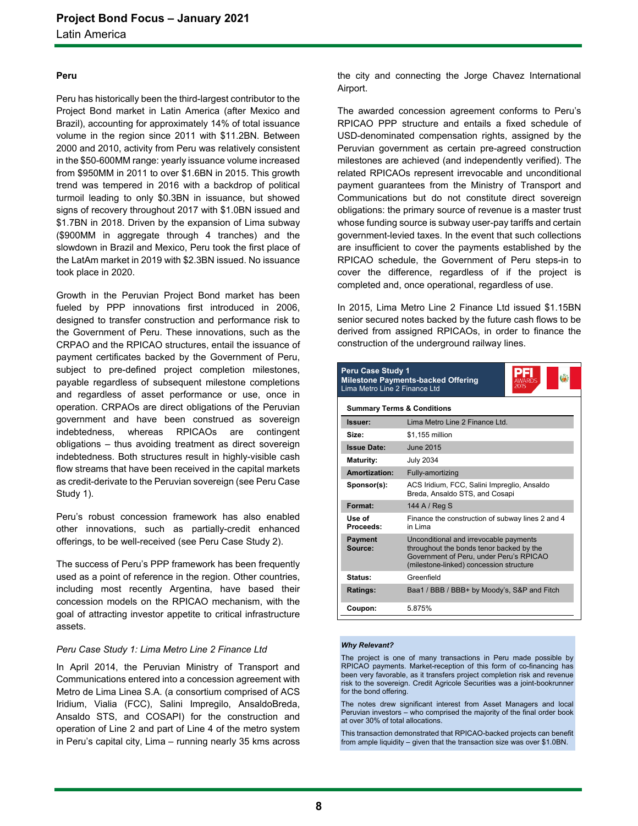### **Peru**

Peru has historically been the third-largest contributor to the Project Bond market in Latin America (after Mexico and Brazil), accounting for approximately 14% of total issuance volume in the region since 2011 with \$11.2BN. Between 2000 and 2010, activity from Peru was relatively consistent in the \$50-600MM range: yearly issuance volume increased from \$950MM in 2011 to over \$1.6BN in 2015. This growth trend was tempered in 2016 with a backdrop of political turmoil leading to only \$0.3BN in issuance, but showed signs of recovery throughout 2017 with \$1.0BN issued and \$1.7BN in 2018. Driven by the expansion of Lima subway (\$900MM in aggregate through 4 tranches) and the slowdown in Brazil and Mexico, Peru took the first place of the LatAm market in 2019 with \$2.3BN issued. No issuance took place in 2020.

Growth in the Peruvian Project Bond market has been fueled by PPP innovations first introduced in 2006, designed to transfer construction and performance risk to the Government of Peru. These innovations, such as the CRPAO and the RPICAO structures, entail the issuance of payment certificates backed by the Government of Peru, subject to pre-defined project completion milestones, payable regardless of subsequent milestone completions and regardless of asset performance or use, once in operation. CRPAOs are direct obligations of the Peruvian government and have been construed as sovereign indebtedness, whereas RPICAOs are contingent obligations – thus avoiding treatment as direct sovereign indebtedness. Both structures result in highly-visible cash flow streams that have been received in the capital markets as credit-derivate to the Peruvian sovereign (see Peru Case Study 1).

Peru's robust concession framework has also enabled other innovations, such as partially-credit enhanced offerings, to be well-received (see Peru Case Study 2).

The success of Peru's PPP framework has been frequently used as a point of reference in the region. Other countries, including most recently Argentina, have based their concession models on the RPICAO mechanism, with the goal of attracting investor appetite to critical infrastructure assets.

### *Peru Case Study 1: Lima Metro Line 2 Finance Ltd*

In April 2014, the Peruvian Ministry of Transport and Communications entered into a concession agreement with Metro de Lima Linea S.A. (a consortium comprised of ACS Iridium, Vialia (FCC), Salini Impregilo, AnsaldoBreda, Ansaldo STS, and COSAPI) for the construction and operation of Line 2 and part of Line 4 of the metro system in Peru's capital city, Lima – running nearly 35 kms across

the city and connecting the Jorge Chavez International Airport.

The awarded concession agreement conforms to Peru's RPICAO PPP structure and entails a fixed schedule of USD-denominated compensation rights, assigned by the Peruvian government as certain pre-agreed construction milestones are achieved (and independently verified). The related RPICAOs represent irrevocable and unconditional payment guarantees from the Ministry of Transport and Communications but do not constitute direct sovereign obligations: the primary source of revenue is a master trust whose funding source is subway user-pay tariffs and certain government-levied taxes. In the event that such collections are insufficient to cover the payments established by the RPICAO schedule, the Government of Peru steps-in to cover the difference, regardless of if the project is completed and, once operational, regardless of use.

In 2015, Lima Metro Line 2 Finance Ltd issued \$1.15BN senior secured notes backed by the future cash flows to be derived from assigned RPICAOs, in order to finance the construction of the underground railway lines.

| <b>Peru Case Study 1</b><br><b>Milestone Payments-backed Offering</b><br>Lima Metro Line 2 Finance Ltd |                                                                                                                                                                          |  |
|--------------------------------------------------------------------------------------------------------|--------------------------------------------------------------------------------------------------------------------------------------------------------------------------|--|
| <b>Summary Terms &amp; Conditions</b>                                                                  |                                                                                                                                                                          |  |
| Issuer:                                                                                                | Lima Metro Line 2 Finance Ltd                                                                                                                                            |  |
| Size:                                                                                                  | \$1.155 million                                                                                                                                                          |  |
| <b>Issue Date:</b>                                                                                     | June 2015                                                                                                                                                                |  |
| Maturity:                                                                                              | <b>July 2034</b>                                                                                                                                                         |  |
| Amortization:                                                                                          | Fully-amortizing                                                                                                                                                         |  |
| Sponsor(s):                                                                                            | ACS Iridium, FCC, Salini Impreglio, Ansaldo<br>Breda, Ansaldo STS, and Cosapi                                                                                            |  |
| Format:                                                                                                | 144 A / Reg S                                                                                                                                                            |  |
| Use of<br>Proceeds:                                                                                    | Finance the construction of subway lines 2 and 4<br>in I ima                                                                                                             |  |
| <b>Payment</b><br>Source:                                                                              | Unconditional and irrevocable payments<br>throughout the bonds tenor backed by the<br>Government of Peru, under Peru's RPICAO<br>(milestone-linked) concession structure |  |
| Status:                                                                                                | Greenfield                                                                                                                                                               |  |
| Ratings:                                                                                               | Baa1 / BBB / BBB+ by Moody's, S&P and Fitch                                                                                                                              |  |
| Coupon:                                                                                                | 5.875%                                                                                                                                                                   |  |

### *Why Relevant?*

The project is one of many transactions in Peru made possible by RPICAO payments. Market-reception of this form of co-financing has been very favorable, as it transfers project completion risk and revenue risk to the sovereign. Credit Agricole Securities was a joint-bookrunner for the bond offering.

The notes drew significant interest from Asset Managers and local Peruvian investors – who comprised the majority of the final order book at over 30% of total allocations.

This transaction demonstrated that RPICAO-backed projects can benefit from ample liquidity – given that the transaction size was over \$1.0BN.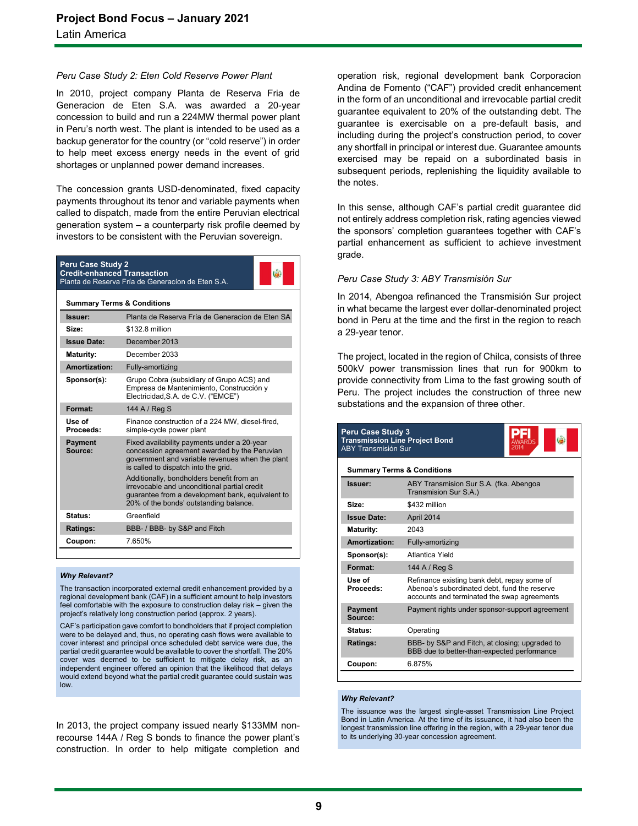### *Peru Case Study 2: Eten Cold Reserve Power Plant*

In 2010, project company Planta de Reserva Fria de Generacion de Eten S.A. was awarded a 20-year concession to build and run a 224MW thermal power plant in Peru's north west. The plant is intended to be used as a backup generator for the country (or "cold reserve") in order to help meet excess energy needs in the event of grid shortages or unplanned power demand increases.

The concession grants USD-denominated, fixed capacity payments throughout its tenor and variable payments when called to dispatch, made from the entire Peruvian electrical generation system – a counterparty risk profile deemed by investors to be consistent with the Peruvian sovereign.

| <b>Peru Case Study 2</b><br><b>Credit-enhanced Transaction</b><br>Planta de Reserva Fría de Generacion de Eten S.A. |                                                                                                                                                                                                                                                                                                                                                                                   |  |  |
|---------------------------------------------------------------------------------------------------------------------|-----------------------------------------------------------------------------------------------------------------------------------------------------------------------------------------------------------------------------------------------------------------------------------------------------------------------------------------------------------------------------------|--|--|
|                                                                                                                     | <b>Summary Terms &amp; Conditions</b>                                                                                                                                                                                                                                                                                                                                             |  |  |
| Issuer:                                                                                                             | Planta de Reserva Fría de Generacion de Eten SA                                                                                                                                                                                                                                                                                                                                   |  |  |
| Size:                                                                                                               | \$132.8 million                                                                                                                                                                                                                                                                                                                                                                   |  |  |
| <b>Issue Date:</b>                                                                                                  | December 2013                                                                                                                                                                                                                                                                                                                                                                     |  |  |
| Maturity:                                                                                                           | December 2033                                                                                                                                                                                                                                                                                                                                                                     |  |  |
| Amortization:                                                                                                       | Fully-amortizing                                                                                                                                                                                                                                                                                                                                                                  |  |  |
| Sponsor(s):                                                                                                         | Grupo Cobra (subsidiary of Grupo ACS) and<br>Empresa de Mantenimiento, Construcción y<br>Electricidad, S.A. de C.V. ("EMCE")                                                                                                                                                                                                                                                      |  |  |
| Format:                                                                                                             | 144 A / Reg S                                                                                                                                                                                                                                                                                                                                                                     |  |  |
| Use of<br>Proceeds:                                                                                                 | Finance construction of a 224 MW, diesel-fired,<br>simple-cycle power plant                                                                                                                                                                                                                                                                                                       |  |  |
| <b>Payment</b><br>Source:                                                                                           | Fixed availability payments under a 20-year<br>concession agreement awarded by the Peruvian<br>government and variable revenues when the plant<br>is called to dispatch into the grid.<br>Additionally, bondholders benefit from an<br>irrevocable and unconditional partial credit<br>guarantee from a development bank, equivalent to<br>20% of the bonds' outstanding balance. |  |  |
| Status:                                                                                                             | Greenfield                                                                                                                                                                                                                                                                                                                                                                        |  |  |
| Ratings:                                                                                                            | BBB- / BBB- by S&P and Fitch                                                                                                                                                                                                                                                                                                                                                      |  |  |
| Coupon:                                                                                                             | 7650%                                                                                                                                                                                                                                                                                                                                                                             |  |  |

### *Why Relevant?*

The transaction incorporated external credit enhancement provided by a regional development bank (CAF) in a sufficient amount to help investors feel comfortable with the exposure to construction delay risk – given the project's relatively long construction period (approx. 2 years).

CAF's participation gave comfort to bondholders that if project completion were to be delayed and, thus, no operating cash flows were available to cover interest and principal once scheduled debt service were due, the partial credit guarantee would be available to cover the shortfall. The 20% cover was deemed to be sufficient to mitigate delay risk, as an independent engineer offered an opinion that the likelihood that delays would extend beyond what the partial credit guarantee could sustain was low.

In 2013, the project company issued nearly \$133MM nonrecourse 144A / Reg S bonds to finance the power plant's construction. In order to help mitigate completion and

operation risk, regional development bank Corporacion Andina de Fomento ("CAF") provided credit enhancement in the form of an unconditional and irrevocable partial credit guarantee equivalent to 20% of the outstanding debt. The guarantee is exercisable on a pre-default basis, and including during the project's construction period, to cover any shortfall in principal or interest due. Guarantee amounts exercised may be repaid on a subordinated basis in subsequent periods, replenishing the liquidity available to the notes.

In this sense, although CAF's partial credit guarantee did not entirely address completion risk, rating agencies viewed the sponsors' completion guarantees together with CAF's partial enhancement as sufficient to achieve investment grade.

### *Peru Case Study 3: ABY Transmisión Sur*

In 2014, Abengoa refinanced the Transmisión Sur project in what became the largest ever dollar-denominated project bond in Peru at the time and the first in the region to reach a 29-year tenor.

The project, located in the region of Chilca, consists of three 500kV power transmission lines that run for 900km to provide connectivity from Lima to the fast growing south of Peru. The project includes the construction of three new substations and the expansion of three other.

| <b>Peru Case Study 3</b><br><b>Transmission Line Project Bond</b><br><b>ABY Transmisión Sur</b> |                                                                                                                                            |  |  |
|-------------------------------------------------------------------------------------------------|--------------------------------------------------------------------------------------------------------------------------------------------|--|--|
|                                                                                                 | <b>Summary Terms &amp; Conditions</b>                                                                                                      |  |  |
| Issuer:                                                                                         | ABY Transmision Sur S.A. (fka. Abengoa<br>Transmision Sur S.A.)                                                                            |  |  |
| Size:                                                                                           | \$432 million                                                                                                                              |  |  |
| <b>Issue Date:</b>                                                                              | April 2014                                                                                                                                 |  |  |
| <b>Maturity:</b>                                                                                | 2043                                                                                                                                       |  |  |
| Amortization:                                                                                   | Fully-amortizing                                                                                                                           |  |  |
| Sponsor(s):                                                                                     | Atlantica Yield                                                                                                                            |  |  |
| Format:                                                                                         | 144 A / Reg S                                                                                                                              |  |  |
| Use of<br>Proceeds:                                                                             | Refinance existing bank debt, repay some of<br>Abenoa's subordinated debt, fund the reserve<br>accounts and terminated the swap agreements |  |  |
| <b>Payment</b><br>Source:                                                                       | Payment rights under sponsor-support agreement                                                                                             |  |  |
| Status:                                                                                         | Operating                                                                                                                                  |  |  |
| Ratings:                                                                                        | BBB- by S&P and Fitch, at closing; upgraded to<br>BBB due to better-than-expected performance                                              |  |  |
| Coupon:                                                                                         | 6.875%                                                                                                                                     |  |  |

#### *Why Relevant?*

The issuance was the largest single-asset Transmission Line Project Bond in Latin America. At the time of its issuance, it had also been the longest transmission line offering in the region, with a 29-year tenor due to its underlying 30-year concession agreement.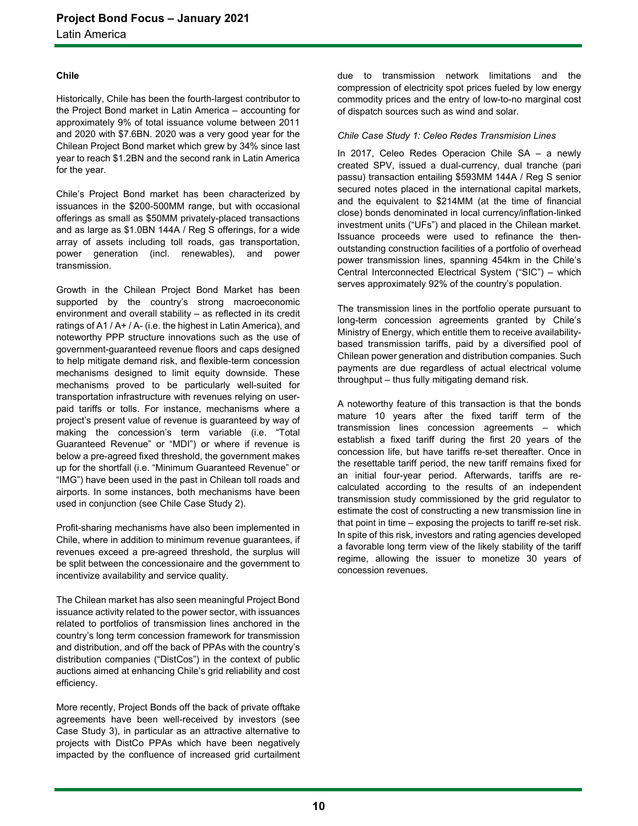Latin America

### **Chile**

Historically, Chile has been the fourth-largest contributor to the Project Bond market in Latin America – accounting for approximately 9% of total issuance volume between 2011 and 2020 with \$7.6BN. 2020 was a very good year for the Chilean Project Bond market which grew by 34% since last year to reach \$1.2BN and the second rank in Latin America for the year.

Chile's Project Bond market has been characterized by issuances in the \$200-500MM range, but with occasional offerings as small as \$50MM privately-placed transactions and as large as \$1.0BN 144A / Reg S offerings, for a wide array of assets including toll roads, gas transportation, power generation (incl. renewables), and power transmission.

Growth in the Chilean Project Bond Market has been supported by the country's strong macroeconomic environment and overall stability – as reflected in its credit ratings of A1 / A+ / A- (i.e. the highest in Latin America), and noteworthy PPP structure innovations such as the use of government-guaranteed revenue floors and caps designed to help mitigate demand risk, and flexible-term concession mechanisms designed to limit equity downside. These mechanisms proved to be particularly well-suited for transportation infrastructure with revenues relying on userpaid tariffs or tolls. For instance, mechanisms where a project's present value of revenue is guaranteed by way of making the concession's term variable (i.e. "Total Guaranteed Revenue" or "MDI") or where if revenue is below a pre-agreed fixed threshold, the government makes up for the shortfall (i.e. "Minimum Guaranteed Revenue" or "IMG") have been used in the past in Chilean toll roads and airports. In some instances, both mechanisms have been used in conjunction (see Chile Case Study 2).

Profit-sharing mechanisms have also been implemented in Chile, where in addition to minimum revenue guarantees, if revenues exceed a pre-agreed threshold, the surplus will be split between the concessionaire and the government to incentivize availability and service quality.

The Chilean market has also seen meaningful Project Bond issuance activity related to the power sector, with issuances related to portfolios of transmission lines anchored in the country's long term concession framework for transmission and distribution, and off the back of PPAs with the country's distribution companies ("DistCos") in the context of public auctions aimed at enhancing Chile's grid reliability and cost efficiency.

More recently, Project Bonds off the back of private offtake agreements have been well-received by investors (see Case Study 3), in particular as an attractive alternative to projects with DistCo PPAs which have been negatively impacted by the confluence of increased grid curtailment due to transmission network limitations and the compression of electricity spot prices fueled by low energy commodity prices and the entry of low-to-no marginal cost of dispatch sources such as wind and solar.

### *Chile Case Study 1: Celeo Redes Transmision Lines*

In 2017, Celeo Redes Operacion Chile SA – a newly created SPV, issued a dual-currency, dual tranche (pari passu) transaction entailing \$593MM 144A / Reg S senior secured notes placed in the international capital markets, and the equivalent to \$214MM (at the time of financial close) bonds denominated in local currency/inflation-linked investment units ("UFs") and placed in the Chilean market. Issuance proceeds were used to refinance the thenoutstanding construction facilities of a portfolio of overhead power transmission lines, spanning 454km in the Chile's Central Interconnected Electrical System ("SIC") – which serves approximately 92% of the country's population.

The transmission lines in the portfolio operate pursuant to long-term concession agreements granted by Chile's Ministry of Energy, which entitle them to receive availabilitybased transmission tariffs, paid by a diversified pool of Chilean power generation and distribution companies. Such payments are due regardless of actual electrical volume throughput – thus fully mitigating demand risk.

A noteworthy feature of this transaction is that the bonds mature 10 years after the fixed tariff term of the transmission lines concession agreements – which establish a fixed tariff during the first 20 years of the concession life, but have tariffs re-set thereafter. Once in the resettable tariff period, the new tariff remains fixed for an initial four-year period. Afterwards, tariffs are recalculated according to the results of an independent transmission study commissioned by the grid regulator to estimate the cost of constructing a new transmission line in that point in time – exposing the projects to tariff re-set risk. In spite of this risk, investors and rating agencies developed a favorable long term view of the likely stability of the tariff regime, allowing the issuer to monetize 30 years of concession revenues.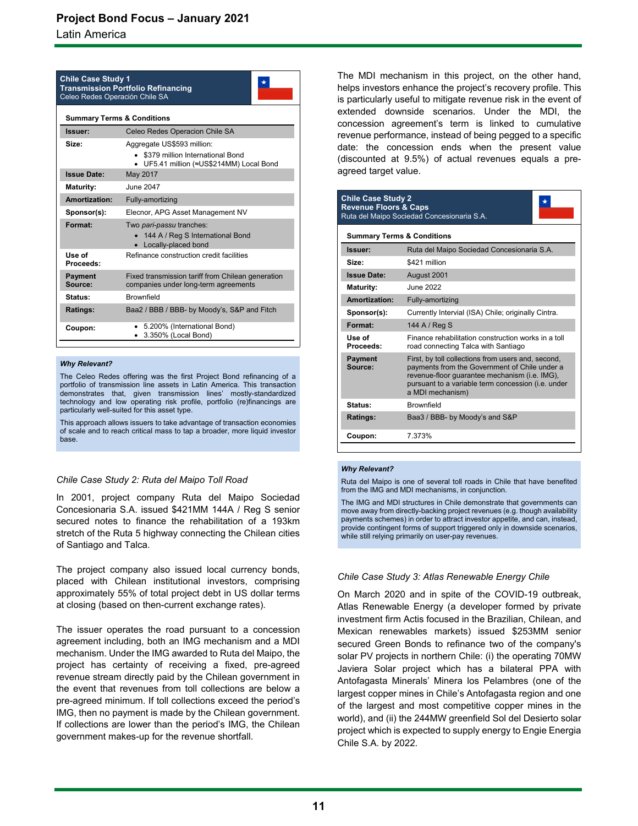### **Project Bond Focus – January 2021**

Latin America

| <b>Chile Case Study 1</b><br><b>Transmission Portfolio Refinancing</b><br>Celeo Redes Operación Chile SA |                                                                                                              |  |  |
|----------------------------------------------------------------------------------------------------------|--------------------------------------------------------------------------------------------------------------|--|--|
|                                                                                                          | <b>Summary Terms &amp; Conditions</b>                                                                        |  |  |
| Issuer:                                                                                                  | Celeo Redes Operacion Chile SA                                                                               |  |  |
| Size:                                                                                                    | Aggregate US\$593 million:<br>• \$379 million International Bond<br>• UF5.41 million (≈US\$214MM) Local Bond |  |  |
| <b>Issue Date:</b>                                                                                       | May 2017                                                                                                     |  |  |
| <b>Maturity:</b>                                                                                         | June 2047                                                                                                    |  |  |
| Amortization:                                                                                            | Fully-amortizing                                                                                             |  |  |
| Sponsor(s):                                                                                              | Elecnor, APG Asset Management NV                                                                             |  |  |
| Format:                                                                                                  | Two pari-passu tranches:<br>• 144 A / Reg S International Bond<br>• Locally-placed bond                      |  |  |
| Use of<br>Proceeds:                                                                                      | Refinance construction credit facilities                                                                     |  |  |
| <b>Payment</b><br>Source:                                                                                | Fixed transmission tariff from Chilean generation<br>companies under long-term agreements                    |  |  |
| Status:                                                                                                  | <b>Brownfield</b>                                                                                            |  |  |
| Ratings:                                                                                                 | Baa2 / BBB / BBB- by Moody's, S&P and Fitch                                                                  |  |  |
| Coupon:                                                                                                  | 5.200% (International Bond)<br>3.350% (Local Bond)                                                           |  |  |

#### *Why Relevant?*

The Celeo Redes offering was the first Project Bond refinancing of a portfolio of transmission line assets in Latin America. This transaction demonstrates that, given transmission lines' mostly-standardized technology and low operating risk profile, portfolio (re)financings are particularly well-suited for this asset type.

This approach allows issuers to take advantage of transaction economies of scale and to reach critical mass to tap a broader, more liquid investor base.

### *Chile Case Study 2: Ruta del Maipo Toll Road*

In 2001, project company Ruta del Maipo Sociedad Concesionaria S.A. issued \$421MM 144A / Reg S senior secured notes to finance the rehabilitation of a 193km stretch of the Ruta 5 highway connecting the Chilean cities of Santiago and Talca.

The project company also issued local currency bonds, placed with Chilean institutional investors, comprising approximately 55% of total project debt in US dollar terms at closing (based on then-current exchange rates).

The issuer operates the road pursuant to a concession agreement including, both an IMG mechanism and a MDI mechanism. Under the IMG awarded to Ruta del Maipo, the project has certainty of receiving a fixed, pre-agreed revenue stream directly paid by the Chilean government in the event that revenues from toll collections are below a pre-agreed minimum. If toll collections exceed the period's IMG, then no payment is made by the Chilean government. If collections are lower than the period's IMG, the Chilean government makes-up for the revenue shortfall.

The MDI mechanism in this project, on the other hand, helps investors enhance the project's recovery profile. This is particularly useful to mitigate revenue risk in the event of extended downside scenarios. Under the MDI, the concession agreement's term is linked to cumulative revenue performance, instead of being pegged to a specific date: the concession ends when the present value (discounted at 9.5%) of actual revenues equals a preagreed target value.

| <b>Chile Case Study 2</b><br><b>Revenue Floors &amp; Caps</b> | Ruta del Maipo Sociedad Concesionaria S.A.                                                                                                                                                                                     |  |  |
|---------------------------------------------------------------|--------------------------------------------------------------------------------------------------------------------------------------------------------------------------------------------------------------------------------|--|--|
|                                                               | <b>Summary Terms &amp; Conditions</b>                                                                                                                                                                                          |  |  |
| Issuer:                                                       | Ruta del Maipo Sociedad Concesionaria S.A.                                                                                                                                                                                     |  |  |
| Size:                                                         | \$421 million                                                                                                                                                                                                                  |  |  |
| <b>Issue Date:</b>                                            | August 2001                                                                                                                                                                                                                    |  |  |
| <b>Maturity:</b>                                              | June 2022                                                                                                                                                                                                                      |  |  |
| Amortization:                                                 | Fully-amortizing                                                                                                                                                                                                               |  |  |
| Sponsor(s):                                                   | Currently Intervial (ISA) Chile; originally Cintra.                                                                                                                                                                            |  |  |
| Format:                                                       | 144 A / Reg S                                                                                                                                                                                                                  |  |  |
| Use of<br>Proceeds:                                           | Finance rehabilitation construction works in a toll<br>road connecting Talca with Santiago                                                                                                                                     |  |  |
| <b>Payment</b><br>Source:                                     | First, by toll collections from users and, second,<br>payments from the Government of Chile under a<br>revenue-floor quarantee mechanism (i.e. IMG),<br>pursuant to a variable term concession (i.e. under<br>a MDI mechanism) |  |  |
| Status:                                                       | <b>Brownfield</b>                                                                                                                                                                                                              |  |  |
| Ratings:                                                      | Baa3 / BBB- by Moody's and S&P                                                                                                                                                                                                 |  |  |
| Coupon:                                                       | 7.373%                                                                                                                                                                                                                         |  |  |

### *Why Relevant?*

Ruta del Maipo is one of several toll roads in Chile that have benefited from the IMG and MDI mechanisms, in conjunction.

The IMG and MDI structures in Chile demonstrate that governments can move away from directly-backing project revenues (e.g. though availability payments schemes) in order to attract investor appetite, and can, instead, provide contingent forms of support triggered only in downside scenarios, while still relying primarily on user-pay revenues.

### *Chile Case Study 3: Atlas Renewable Energy Chile*

On March 2020 and in spite of the COVID-19 outbreak, Atlas Renewable Energy (a developer formed by private investment firm Actis focused in the Brazilian, Chilean, and Mexican renewables markets) issued \$253MM senior secured Green Bonds to refinance two of the company's solar PV projects in northern Chile: (i) the operating 70MW Javiera Solar project which has a bilateral PPA with Antofagasta Minerals' Minera los Pelambres (one of the largest copper mines in Chile's Antofagasta region and one of the largest and most competitive copper mines in the world), and (ii) the 244MW greenfield Sol del Desierto solar project which is expected to supply energy to Engie Energia Chile S.A. by 2022.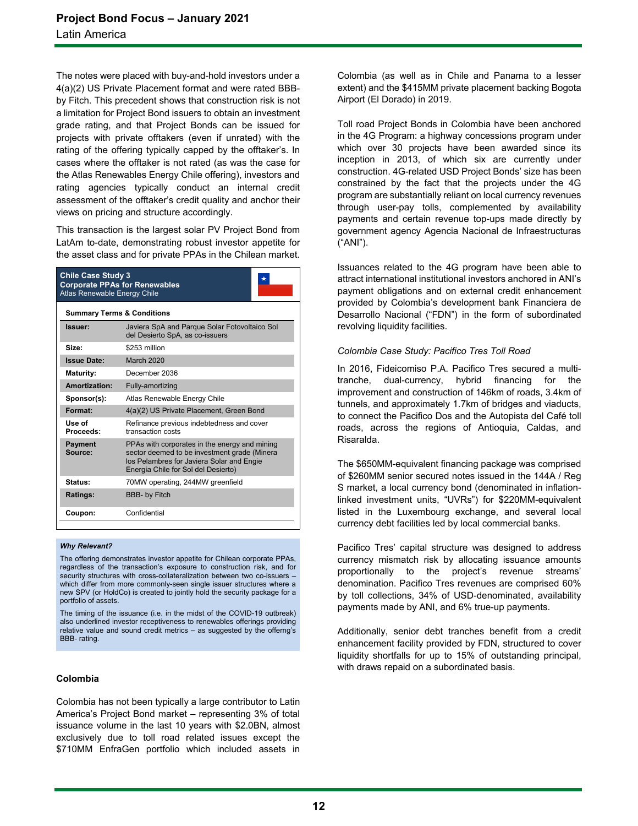The notes were placed with buy-and-hold investors under a 4(a)(2) US Private Placement format and were rated BBBby Fitch. This precedent shows that construction risk is not a limitation for Project Bond issuers to obtain an investment grade rating, and that Project Bonds can be issued for projects with private offtakers (even if unrated) with the rating of the offering typically capped by the offtaker's. In cases where the offtaker is not rated (as was the case for the Atlas Renewables Energy Chile offering), investors and rating agencies typically conduct an internal credit assessment of the offtaker's credit quality and anchor their views on pricing and structure accordingly.

This transaction is the largest solar PV Project Bond from LatAm to-date, demonstrating robust investor appetite for the asset class and for private PPAs in the Chilean market.

| <b>Chile Case Study 3</b><br><b>Corporate PPAs for Renewables</b><br>Atlas Renewable Energy Chile |                                                                                                                                                                                   |  |
|---------------------------------------------------------------------------------------------------|-----------------------------------------------------------------------------------------------------------------------------------------------------------------------------------|--|
| <b>Summary Terms &amp; Conditions</b>                                                             |                                                                                                                                                                                   |  |
| Issuer:                                                                                           | Javiera SpA and Parque Solar Fotovoltaico Sol<br>del Desierto SpA, as co-issuers                                                                                                  |  |
| Size:                                                                                             | \$253 million                                                                                                                                                                     |  |
| <b>Issue Date:</b>                                                                                | <b>March 2020</b>                                                                                                                                                                 |  |
| <b>Maturity:</b>                                                                                  | December 2036                                                                                                                                                                     |  |
| Amortization:                                                                                     | Fully-amortizing                                                                                                                                                                  |  |
| Sponsor(s):                                                                                       | Atlas Renewable Energy Chile                                                                                                                                                      |  |
| Format:                                                                                           | 4(a)(2) US Private Placement, Green Bond                                                                                                                                          |  |
| Use of<br>Proceeds:                                                                               | Refinance previous indebtedness and cover<br>transaction costs                                                                                                                    |  |
| <b>Payment</b><br>Source:                                                                         | PPAs with corporates in the energy and mining<br>sector deemed to be investment grade (Minera<br>los Pelambres for Javiera Solar and Engie<br>Energia Chile for Sol del Desierto) |  |
| Status:                                                                                           | 70MW operating, 244MW greenfield                                                                                                                                                  |  |
| Ratings:                                                                                          | <b>BBB- by Fitch</b>                                                                                                                                                              |  |
| Coupon:                                                                                           | Confidential                                                                                                                                                                      |  |

#### *Why Relevant?*

The offering demonstrates investor appetite for Chilean corporate PPAs, regardless of the transaction's exposure to construction risk, and for security structures with cross-collateralization between two co-issuers – which differ from more commonly-seen single issuer structures where a new SPV (or HoldCo) is created to jointly hold the security package for a portfolio of assets.

The timing of the issuance (i.e. in the midst of the COVID-19 outbreak) also underlined investor receptiveness to renewables offerings providing relative value and sound credit metrics – as suggested by the offerng's BBB- rating.

### **Colombia**

Colombia has not been typically a large contributor to Latin America's Project Bond market – representing 3% of total issuance volume in the last 10 years with \$2.0BN, almost exclusively due to toll road related issues except the \$710MM EnfraGen portfolio which included assets in

Colombia (as well as in Chile and Panama to a lesser extent) and the \$415MM private placement backing Bogota Airport (El Dorado) in 2019.

Toll road Project Bonds in Colombia have been anchored in the 4G Program: a highway concessions program under which over 30 projects have been awarded since its inception in 2013, of which six are currently under construction. 4G-related USD Project Bonds' size has been constrained by the fact that the projects under the 4G program are substantially reliant on local currency revenues through user-pay tolls, complemented by availability payments and certain revenue top-ups made directly by government agency Agencia Nacional de Infraestructuras ("ANI").

Issuances related to the 4G program have been able to attract international institutional investors anchored in ANI's payment obligations and on external credit enhancement provided by Colombia's development bank Financiera de Desarrollo Nacional ("FDN") in the form of subordinated revolving liquidity facilities.

### *Colombia Case Study: Pacifico Tres Toll Road*

In 2016, Fideicomiso P.A. Pacifico Tres secured a multitranche, dual-currency, hybrid financing for the improvement and construction of 146km of roads, 3.4km of tunnels, and approximately 1.7km of bridges and viaducts, to connect the Pacifico Dos and the Autopista del Café toll roads, across the regions of Antioquia, Caldas, and Risaralda.

The \$650MM-equivalent financing package was comprised of \$260MM senior secured notes issued in the 144A / Reg S market, a local currency bond (denominated in inflationlinked investment units, "UVRs") for \$220MM-equivalent listed in the Luxembourg exchange, and several local currency debt facilities led by local commercial banks.

Pacifico Tres' capital structure was designed to address currency mismatch risk by allocating issuance amounts proportionally to the project's revenue streams' denomination. Pacifico Tres revenues are comprised 60% by toll collections, 34% of USD-denominated, availability payments made by ANI, and 6% true-up payments.

Additionally, senior debt tranches benefit from a credit enhancement facility provided by FDN, structured to cover liquidity shortfalls for up to 15% of outstanding principal, with draws repaid on a subordinated basis.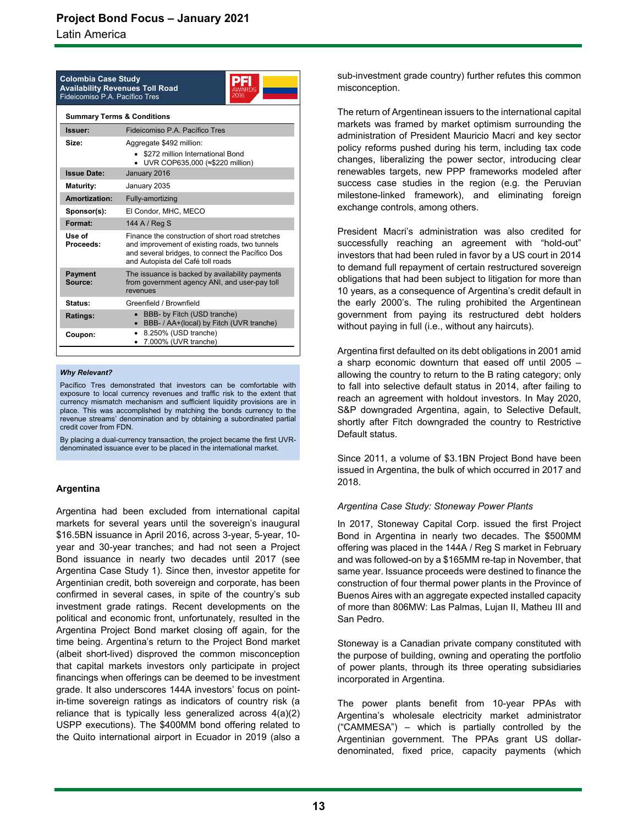Latin America

| <b>Colombia Case Study</b><br><b>Availability Revenues Toll Road</b><br>Fideicomiso P.A. Pacífico Tres |                                                                         |  |
|--------------------------------------------------------------------------------------------------------|-------------------------------------------------------------------------|--|
|                                                                                                        | <b>Summary Terms &amp; Conditions</b>                                   |  |
| Issuer:                                                                                                | Fideicomiso P.A. Pacífico Tres                                          |  |
| Size:                                                                                                  | Aggregate \$492 million:                                                |  |
|                                                                                                        | • \$272 million International Bond<br>• UVR COP635,000 (≈\$220 million) |  |
| <b>Issue Date:</b>                                                                                     | January 2016                                                            |  |
|                                                                                                        |                                                                         |  |

| <b>Maturity:</b>          | January 2035                                                                                                                                                                                |  |  |  |  |  |  |  |  |
|---------------------------|---------------------------------------------------------------------------------------------------------------------------------------------------------------------------------------------|--|--|--|--|--|--|--|--|
| Amortization:             | Fully-amortizing                                                                                                                                                                            |  |  |  |  |  |  |  |  |
| Sponsor(s):               | El Condor, MHC, MECO                                                                                                                                                                        |  |  |  |  |  |  |  |  |
| Format:                   | 144 A / Reg S                                                                                                                                                                               |  |  |  |  |  |  |  |  |
| Use of<br>Proceeds:       | Finance the construction of short road stretches<br>and improvement of existing roads, two tunnels<br>and several bridges, to connect the Pacífico Dos<br>and Autopista del Café toll roads |  |  |  |  |  |  |  |  |
| <b>Payment</b><br>Source: | The issuance is backed by availability payments<br>from government agency ANI, and user-pay toll<br>revenues                                                                                |  |  |  |  |  |  |  |  |
| Status:                   | Greenfield / Brownfield                                                                                                                                                                     |  |  |  |  |  |  |  |  |
| Ratings:                  | BBB- by Fitch (USD tranche)<br>BBB- / AA+(local) by Fitch (UVR tranche)                                                                                                                     |  |  |  |  |  |  |  |  |
| Coupon:                   | 8.250% (USD tranche)<br>7.000% (UVR tranche)                                                                                                                                                |  |  |  |  |  |  |  |  |

### *Why Relevant?*

Pacífico Tres demonstrated that investors can be comfortable with exposure to local currency revenues and traffic risk to the extent that currency mismatch mechanism and sufficient liquidity provisions are in place. This was accomplished by matching the bonds currency to the revenue streams' denomination and by obtaining a subordinated partial credit cover from FDN.

By placing a dual-currency transaction, the project became the first UVRdenominated issuance ever to be placed in the international market.

### **Argentina**

Argentina had been excluded from international capital markets for several years until the sovereign's inaugural \$16.5BN issuance in April 2016, across 3-year, 5-year, 10 year and 30-year tranches; and had not seen a Project Bond issuance in nearly two decades until 2017 (see Argentina Case Study 1). Since then, investor appetite for Argentinian credit, both sovereign and corporate, has been confirmed in several cases, in spite of the country's sub investment grade ratings. Recent developments on the political and economic front, unfortunately, resulted in the Argentina Project Bond market closing off again, for the time being. Argentina's return to the Project Bond market (albeit short-lived) disproved the common misconception that capital markets investors only participate in project financings when offerings can be deemed to be investment grade. It also underscores 144A investors' focus on pointin-time sovereign ratings as indicators of country risk (a reliance that is typically less generalized across 4(a)(2) USPP executions). The \$400MM bond offering related to the Quito international airport in Ecuador in 2019 (also a sub-investment grade country) further refutes this common misconception.

The return of Argentinean issuers to the international capital markets was framed by market optimism surrounding the administration of President Mauricio Macri and key sector policy reforms pushed during his term, including tax code changes, liberalizing the power sector, introducing clear renewables targets, new PPP frameworks modeled after success case studies in the region (e.g. the Peruvian milestone-linked framework), and eliminating foreign exchange controls, among others.

President Macri's administration was also credited for successfully reaching an agreement with "hold-out" investors that had been ruled in favor by a US court in 2014 to demand full repayment of certain restructured sovereign obligations that had been subject to litigation for more than 10 years, as a consequence of Argentina's credit default in the early 2000's. The ruling prohibited the Argentinean government from paying its restructured debt holders without paying in full (i.e., without any haircuts).

Argentina first defaulted on its debt obligations in 2001 amid a sharp economic downturn that eased off until 2005 – allowing the country to return to the B rating category; only to fall into selective default status in 2014, after failing to reach an agreement with holdout investors. In May 2020, S&P downgraded Argentina, again, to Selective Default, shortly after Fitch downgraded the country to Restrictive Default status.

Since 2011, a volume of \$3.1BN Project Bond have been issued in Argentina, the bulk of which occurred in 2017 and 2018.

### *Argentina Case Study: Stoneway Power Plants*

In 2017, Stoneway Capital Corp. issued the first Project Bond in Argentina in nearly two decades. The \$500MM offering was placed in the 144A / Reg S market in February and was followed-on by a \$165MM re-tap in November, that same year. Issuance proceeds were destined to finance the construction of four thermal power plants in the Province of Buenos Aires with an aggregate expected installed capacity of more than 806MW: Las Palmas, Lujan II, Matheu III and San Pedro.

Stoneway is a Canadian private company constituted with the purpose of building, owning and operating the portfolio of power plants, through its three operating subsidiaries incorporated in Argentina.

The power plants benefit from 10-year PPAs with Argentina's wholesale electricity market administrator ("CAMMESA") – which is partially controlled by the Argentinian government. The PPAs grant US dollardenominated, fixed price, capacity payments (which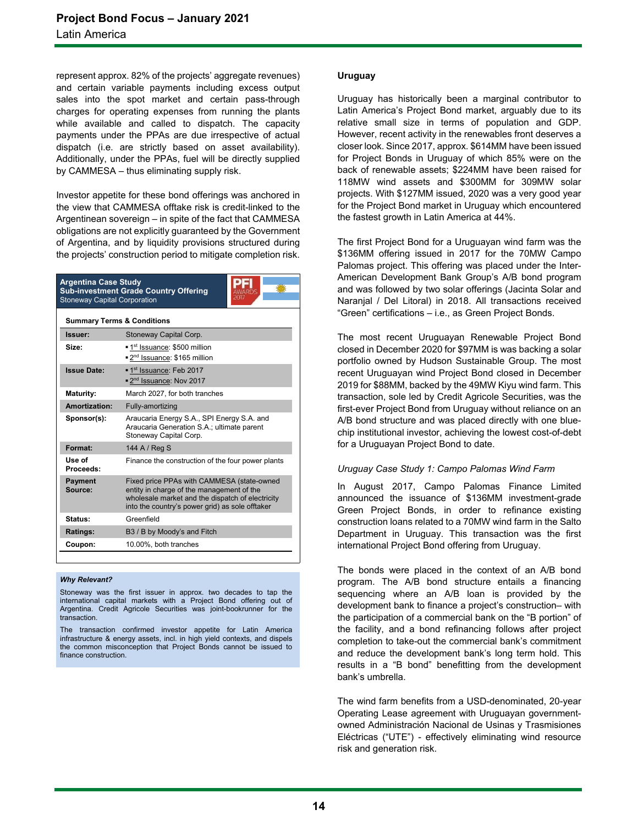represent approx. 82% of the projects' aggregate revenues) and certain variable payments including excess output sales into the spot market and certain pass-through charges for operating expenses from running the plants while available and called to dispatch. The capacity payments under the PPAs are due irrespective of actual dispatch (i.e. are strictly based on asset availability). Additionally, under the PPAs, fuel will be directly supplied by CAMMESA – thus eliminating supply risk.

Investor appetite for these bond offerings was anchored in the view that CAMMESA offtake risk is credit-linked to the Argentinean sovereign – in spite of the fact that CAMMESA obligations are not explicitly guaranteed by the Government of Argentina, and by liquidity provisions structured during the projects' construction period to mitigate completion risk.

**Argentina Case Study Sub-investment Grade Country Offering** Stoneway Capital Corporation

| <b>Summary Terms &amp; Conditions</b> |                                                                                                                                                                                                |  |  |  |  |  |
|---------------------------------------|------------------------------------------------------------------------------------------------------------------------------------------------------------------------------------------------|--|--|--|--|--|
| Issuer:                               | Stoneway Capital Corp.                                                                                                                                                                         |  |  |  |  |  |
| Size:                                 | <sup>1st</sup> Issuance: \$500 million<br>■ 2 <sup>nd</sup> Issuance: \$165 million                                                                                                            |  |  |  |  |  |
| <b>Issue Date:</b>                    | ■ 1 <sup>st</sup> Issuance: Feb 2017<br>■ 2 <sup>nd</sup> Issuance: Nov 2017                                                                                                                   |  |  |  |  |  |
| <b>Maturity:</b>                      | March 2027, for both tranches                                                                                                                                                                  |  |  |  |  |  |
| Amortization:                         | Fully-amortizing                                                                                                                                                                               |  |  |  |  |  |
| Sponsor(s):                           | Araucaria Energy S.A., SPI Energy S.A. and<br>Araucaria Generation S.A.; ultimate parent<br>Stoneway Capital Corp.                                                                             |  |  |  |  |  |
| Format:                               | 144 A / Reg S                                                                                                                                                                                  |  |  |  |  |  |
| Use of<br>Proceeds:                   | Finance the construction of the four power plants                                                                                                                                              |  |  |  |  |  |
| <b>Payment</b><br>Source:             | Fixed price PPAs with CAMMESA (state-owned<br>entity in charge of the management of the<br>wholesale market and the dispatch of electricity<br>into the country's power grid) as sole offtaker |  |  |  |  |  |
| Status:                               | Greenfield                                                                                                                                                                                     |  |  |  |  |  |
| Ratings:                              | B3 / B by Moody's and Fitch                                                                                                                                                                    |  |  |  |  |  |
| Coupon:                               | 10.00%, both tranches                                                                                                                                                                          |  |  |  |  |  |

#### *Why Relevant?*

Stoneway was the first issuer in approx. two decades to tap the international capital markets with a Project Bond offering out of Argentina. Credit Agricole Securities was joint-bookrunner for the **transaction** 

The transaction confirmed investor appetite for Latin America infrastructure & energy assets, incl. in high yield contexts, and dispels the common misconception that Project Bonds cannot be issued to finance construction.

### **Uruguay**

Uruguay has historically been a marginal contributor to Latin America's Project Bond market, arguably due to its relative small size in terms of population and GDP. However, recent activity in the renewables front deserves a closer look. Since 2017, approx. \$614MM have been issued for Project Bonds in Uruguay of which 85% were on the back of renewable assets; \$224MM have been raised for 118MW wind assets and \$300MM for 309MW solar projects. With \$127MM issued, 2020 was a very good year for the Project Bond market in Uruguay which encountered the fastest growth in Latin America at 44%.

The first Project Bond for a Uruguayan wind farm was the \$136MM offering issued in 2017 for the 70MW Campo Palomas project. This offering was placed under the Inter-American Development Bank Group's A/B bond program and was followed by two solar offerings (Jacinta Solar and Naranjal / Del Litoral) in 2018. All transactions received "Green" certifications – i.e., as Green Project Bonds.

The most recent Uruguayan Renewable Project Bond closed in December 2020 for \$97MM is was backing a solar portfolio owned by Hudson Sustainable Group. The most recent Uruguayan wind Project Bond closed in December 2019 for \$88MM, backed by the 49MW Kiyu wind farm. This transaction, sole led by Credit Agricole Securities, was the first-ever Project Bond from Uruguay without reliance on an A/B bond structure and was placed directly with one bluechip institutional investor, achieving the lowest cost-of-debt for a Uruguayan Project Bond to date.

### *Uruguay Case Study 1: Campo Palomas Wind Farm*

In August 2017, Campo Palomas Finance Limited announced the issuance of \$136MM investment-grade Green Project Bonds, in order to refinance existing construction loans related to a 70MW wind farm in the Salto Department in Uruguay. This transaction was the first international Project Bond offering from Uruguay.

The bonds were placed in the context of an A/B bond program. The A/B bond structure entails a financing sequencing where an A/B loan is provided by the development bank to finance a project's construction– with the participation of a commercial bank on the "B portion" of the facility, and a bond refinancing follows after project completion to take-out the commercial bank's commitment and reduce the development bank's long term hold. This results in a "B bond" benefitting from the development bank's umbrella.

The wind farm benefits from a USD-denominated, 20-year Operating Lease agreement with Uruguayan governmentowned Administración Nacional de Usinas y Trasmisiones Eléctricas ("UTE") - effectively eliminating wind resource risk and generation risk.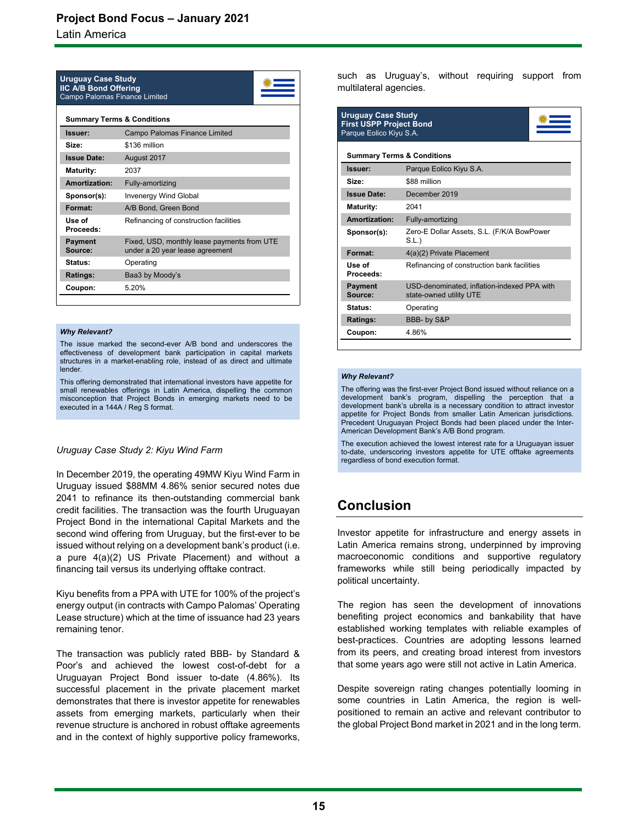Latin America

| <b>Uruguay Case Study</b><br><b>IIC A/B Bond Offering</b><br>Campo Palomas Finance Limited |                                                                                |  |  |  |  |  |  |
|--------------------------------------------------------------------------------------------|--------------------------------------------------------------------------------|--|--|--|--|--|--|
| <b>Summary Terms &amp; Conditions</b>                                                      |                                                                                |  |  |  |  |  |  |
| Issuer:                                                                                    | Campo Palomas Finance Limited                                                  |  |  |  |  |  |  |
| Size:                                                                                      | \$136 million                                                                  |  |  |  |  |  |  |
| <b>Issue Date:</b>                                                                         | August 2017                                                                    |  |  |  |  |  |  |
| <b>Maturity:</b>                                                                           | 2037                                                                           |  |  |  |  |  |  |
| Amortization:                                                                              | Fully-amortizing                                                               |  |  |  |  |  |  |
| Sponsor(s):                                                                                | <b>Invenergy Wind Global</b>                                                   |  |  |  |  |  |  |
| Format:                                                                                    | A/B Bond, Green Bond                                                           |  |  |  |  |  |  |
| Use of<br>Proceeds:                                                                        | Refinancing of construction facilities                                         |  |  |  |  |  |  |
| <b>Payment</b><br>Source:                                                                  | Fixed, USD, monthly lease payments from UTE<br>under a 20 year lease agreement |  |  |  |  |  |  |
| Status:                                                                                    | Operating                                                                      |  |  |  |  |  |  |
| Ratings:                                                                                   | Baa3 by Moody's                                                                |  |  |  |  |  |  |
| Coupon:                                                                                    | 5.20%                                                                          |  |  |  |  |  |  |
|                                                                                            |                                                                                |  |  |  |  |  |  |

#### *Why Relevant?*

The issue marked the second-ever A/B bond and underscores the effectiveness of development bank participation in capital markets structures in a market-enabling role, instead of as direct and ultimate lender.

This offering demonstrated that international investors have appetite for small renewables offerings in Latin America, dispelling the common misconception that Project Bonds in emerging markets need to be executed in a 144A / Reg S format.

### *Uruguay Case Study 2: Kiyu Wind Farm*

In December 2019, the operating 49MW Kiyu Wind Farm in Uruguay issued \$88MM 4.86% senior secured notes due 2041 to refinance its then-outstanding commercial bank credit facilities. The transaction was the fourth Uruguayan Project Bond in the international Capital Markets and the second wind offering from Uruguay, but the first-ever to be issued without relying on a development bank's product (i.e. a pure 4(a)(2) US Private Placement) and without a financing tail versus its underlying offtake contract.

Kiyu benefits from a PPA with UTE for 100% of the project's energy output (in contracts with Campo Palomas' Operating Lease structure) which at the time of issuance had 23 years remaining tenor.

The transaction was publicly rated BBB- by Standard & Poor's and achieved the lowest cost-of-debt for a Uruguayan Project Bond issuer to-date (4.86%). Its successful placement in the private placement market demonstrates that there is investor appetite for renewables assets from emerging markets, particularly when their revenue structure is anchored in robust offtake agreements and in the context of highly supportive policy frameworks,

such as Uruguay's, without requiring support from multilateral agencies.

| <b>Uruguay Case Study</b><br><b>First USPP Project Bond</b><br>Parque Eolico Kiyu S.A. |                                                                        |  |  |  |  |  |  |
|----------------------------------------------------------------------------------------|------------------------------------------------------------------------|--|--|--|--|--|--|
|                                                                                        | <b>Summary Terms &amp; Conditions</b>                                  |  |  |  |  |  |  |
| Issuer:                                                                                | Parque Eolico Kiyu S.A.                                                |  |  |  |  |  |  |
| Size:                                                                                  | \$88 million                                                           |  |  |  |  |  |  |
| <b>Issue Date:</b>                                                                     | December 2019                                                          |  |  |  |  |  |  |
| Maturity:                                                                              | 2041                                                                   |  |  |  |  |  |  |
| Amortization:                                                                          | Fully-amortizing                                                       |  |  |  |  |  |  |
| Sponsor(s):                                                                            | Zero-E Dollar Assets, S.L. (F/K/A BowPower<br>S.L.                     |  |  |  |  |  |  |
| Format:                                                                                | 4(a)(2) Private Placement                                              |  |  |  |  |  |  |
| Use of<br>Proceeds:                                                                    | Refinancing of construction bank facilities                            |  |  |  |  |  |  |
| <b>Payment</b><br>Source:                                                              | USD-denominated, inflation-indexed PPA with<br>state-owned utility UTE |  |  |  |  |  |  |
| Status:                                                                                | Operating                                                              |  |  |  |  |  |  |
| Ratings:                                                                               | BBB- by S&P                                                            |  |  |  |  |  |  |
| Coupon:                                                                                | 4.86%                                                                  |  |  |  |  |  |  |

#### *Why Relevant?*

The offering was the first-ever Project Bond issued without reliance on a development bank's program, dispelling the perception that a development bank's ubrella is a necessary condition to attract investor appetite for Project Bonds from smaller Latin American jurisdictions. Precedent Uruguayan Project Bonds had been placed under the Inter-American Development Bank's A/B Bond program.

The execution achieved the lowest interest rate for a Uruguayan issuer to-date, underscoring investors appetite for UTE offtake agreements regardless of bond execution format.

### **Conclusion**

Investor appetite for infrastructure and energy assets in Latin America remains strong, underpinned by improving macroeconomic conditions and supportive regulatory frameworks while still being periodically impacted by political uncertainty.

The region has seen the development of innovations benefiting project economics and bankability that have established working templates with reliable examples of best-practices. Countries are adopting lessons learned from its peers, and creating broad interest from investors that some years ago were still not active in Latin America.

Despite sovereign rating changes potentially looming in some countries in Latin America, the region is wellpositioned to remain an active and relevant contributor to the global Project Bond market in 2021 and in the long term.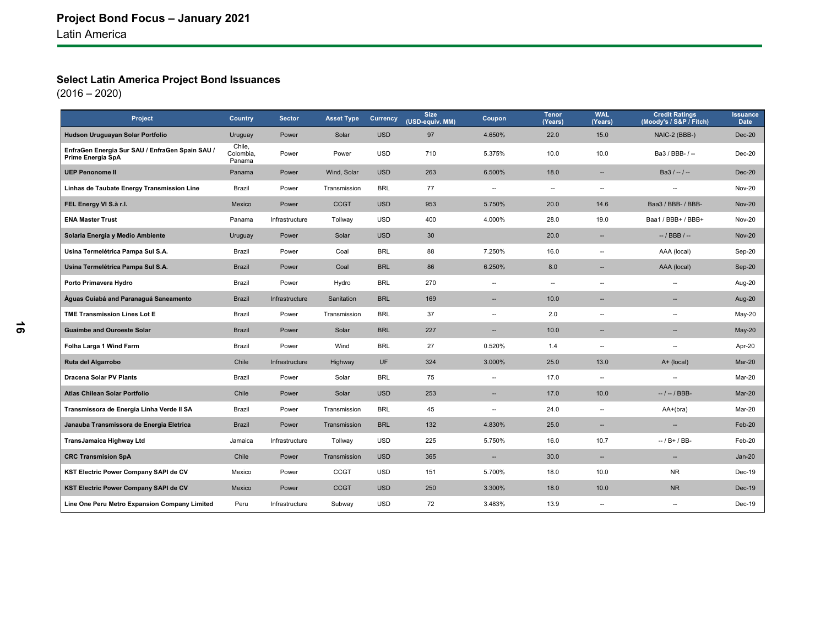### **Select Latin America Project Bond Issuances**

| Project                                                              | <b>Country</b>                | <b>Sector</b>  | <b>Asset Type</b> | <b>Currency</b> | <b>Size</b><br>(USD-equiv. MM) | Coupon                   | <b>Tenor</b><br>(Years)  | <b>WAL</b><br>(Years)    | <b>Credit Ratings</b><br>(Moody's / S&P / Fitch) | <b>Issuance</b><br><b>Date</b> |
|----------------------------------------------------------------------|-------------------------------|----------------|-------------------|-----------------|--------------------------------|--------------------------|--------------------------|--------------------------|--------------------------------------------------|--------------------------------|
| Hudson Uruguayan Solar Portfolio                                     | Uruguay                       | Power          | Solar             | <b>USD</b>      | 97                             | 4.650%                   | 22.0                     | 15.0                     | NAIC-2 (BBB-)                                    | <b>Dec-20</b>                  |
| EnfraGen Energia Sur SAU / EnfraGen Spain SAU /<br>Prime Energia SpA | Chile,<br>Colombia,<br>Panama | Power          | Power             | <b>USD</b>      | 710                            | 5.375%                   | 10.0                     | 10.0                     | Ba3 / BBB- / --                                  | Dec-20                         |
| <b>UEP Penonome II</b>                                               | Panama                        | Power          | Wind, Solar       | <b>USD</b>      | 263                            | 6.500%                   | 18.0                     | $\overline{\phantom{a}}$ | $Ba3/-/-$                                        | <b>Dec-20</b>                  |
| Linhas de Taubate Energy Transmission Line                           | Brazil                        | Power          | Transmission      | <b>BRL</b>      | 77                             | $\overline{\phantom{a}}$ | $\overline{\phantom{a}}$ | $\overline{\phantom{a}}$ | $\overline{\phantom{a}}$                         | <b>Nov-20</b>                  |
| FEL Energy VI S.à r.l.                                               | Mexico                        | Power          | <b>CCGT</b>       | <b>USD</b>      | 953                            | 5.750%                   | 20.0                     | 14.6                     | Baa3 / BBB- / BBB-                               | <b>Nov-20</b>                  |
| <b>ENA Master Trust</b>                                              | Panama                        | Infrastructure | Tollway           | <b>USD</b>      | 400                            | 4.000%                   | 28.0                     | 19.0                     | Baa1 / BBB+ / BBB+                               | <b>Nov-20</b>                  |
| Solaria Energia y Medio Ambiente                                     | Uruguay                       | Power          | Solar             | <b>USD</b>      | 30                             |                          | 20.0                     | $\overline{\phantom{a}}$ | $-$ / BBB / $-$                                  | <b>Nov-20</b>                  |
| Usina Termelétrica Pampa Sul S.A.                                    | Brazil                        | Power          | Coal              | <b>BRL</b>      | 88                             | 7.250%                   | 16.0                     | $\overline{\phantom{a}}$ | AAA (local)                                      | Sep-20                         |
| Usina Termelétrica Pampa Sul S.A.                                    | <b>Brazil</b>                 | Power          | Coal              | <b>BRL</b>      | 86                             | 6.250%                   | 8.0                      | --                       | AAA (local)                                      | Sep-20                         |
| Porto Primavera Hydro                                                | Brazil                        | Power          | Hydro             | <b>BRL</b>      | 270                            | $\overline{a}$           | $\overline{\phantom{a}}$ | ä.                       | $\overline{a}$                                   | Aug-20                         |
| Águas Cuiabá and Paranaguá Saneamento                                | <b>Brazil</b>                 | Infrastructure | Sanitation        | <b>BRL</b>      | 169                            | --                       | 10.0                     | --                       | $\overline{\phantom{a}}$                         | Aug-20                         |
| <b>TME Transmission Lines Lot E</b>                                  | Brazil                        | Power          | Transmission      | BRL             | 37                             | --                       | 2.0                      | --                       | $\overline{\phantom{a}}$                         | May-20                         |
| <b>Guaimbe and Ouroeste Solar</b>                                    | <b>Brazil</b>                 | Power          | Solar             | <b>BRL</b>      | 227                            | --                       | 10.0                     | $\sim$                   | $\sim$                                           | $May-20$                       |
| Folha Larga 1 Wind Farm                                              | Brazil                        | Power          | Wind              | <b>BRL</b>      | 27                             | 0.520%                   | 1.4                      | $\overline{\phantom{a}}$ | $\overline{\phantom{a}}$                         | Apr-20                         |
| Ruta del Algarrobo                                                   | Chile                         | Infrastructure | Highway           | <b>UF</b>       | 324                            | 3.000%                   | 25.0                     | 13.0                     | A+ (local)                                       | Mar-20                         |
| <b>Dracena Solar PV Plants</b>                                       | Brazil                        | Power          | Solar             | <b>BRL</b>      | 75                             | --                       | 17.0                     | $\overline{\phantom{a}}$ | $\overline{\phantom{a}}$                         | Mar-20                         |
| Atlas Chilean Solar Portfolio                                        | Chile                         | Power          | Solar             | <b>USD</b>      | 253                            | н.                       | 17.0                     | 10.0                     | $-1 - 1$ BBB-                                    | Mar-20                         |
| Transmissora de Energia Linha Verde II SA                            | Brazil                        | Power          | Transmission      | <b>BRL</b>      | 45                             | $\overline{\phantom{a}}$ | 24.0                     | $\overline{\phantom{a}}$ | $AA+(bra)$                                       | Mar-20                         |
| Janauba Transmissora de Energia Eletrica                             | <b>Brazil</b>                 | Power          | Transmission      | <b>BRL</b>      | 132                            | 4.830%                   | 25.0                     | $\overline{\phantom{a}}$ | $\overline{\phantom{a}}$                         | Feb-20                         |
| TransJamaica Highway Ltd                                             | Jamaica                       | Infrastructure | Tollway           | <b>USD</b>      | 225                            | 5.750%                   | 16.0                     | 10.7                     | $-$ / B + / BB-                                  | Feb-20                         |
| <b>CRC Transmision SpA</b>                                           | Chile                         | Power          | Transmission      | <b>USD</b>      | 365                            | $\overline{\phantom{a}}$ | 30.0                     | $\overline{\phantom{a}}$ | $\overline{\phantom{a}}$                         | $Jan-20$                       |
| KST Electric Power Company SAPI de CV                                | Mexico                        | Power          | <b>CCGT</b>       | <b>USD</b>      | 151                            | 5.700%                   | 18.0                     | 10.0                     | <b>NR</b>                                        | $Dec-19$                       |
| KST Electric Power Company SAPI de CV                                | Mexico                        | Power          | <b>CCGT</b>       | <b>USD</b>      | 250                            | 3.300%                   | 18.0                     | 10.0                     | <b>NR</b>                                        | Dec-19                         |
| Line One Peru Metro Expansion Company Limited                        | Peru                          | Infrastructure | Subway            | <b>USD</b>      | 72                             | 3.483%                   | 13.9                     | --                       | $\overline{\phantom{a}}$                         | Dec-19                         |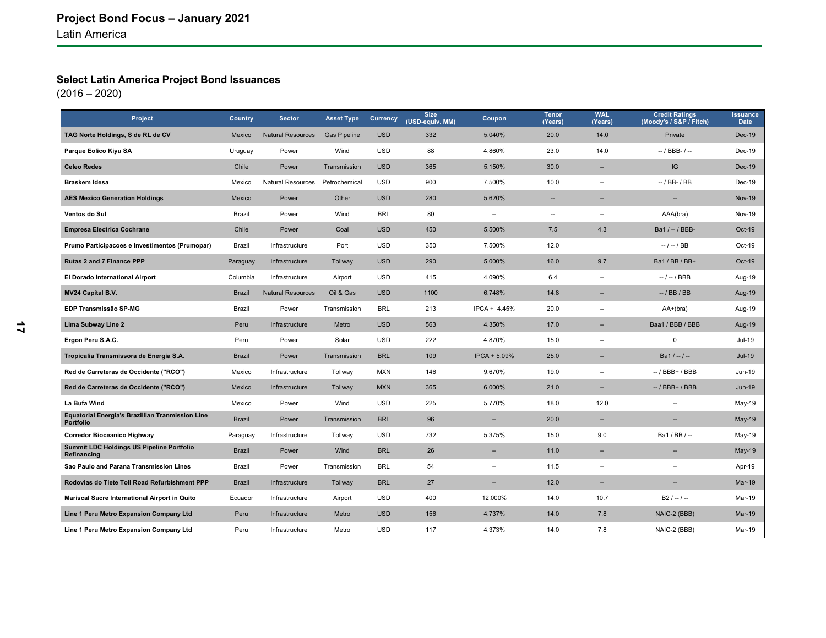### **Select Latin America Project Bond Issuances**

| Project                                                              | <b>Country</b> | <b>Sector</b>            | <b>Asset Type</b>   | Currency   | <b>Size</b><br>(USD-equiv. MM) | Coupon                   | <b>Tenor</b><br>(Years)  | <b>WAL</b><br>(Years)    | <b>Credit Ratings</b><br>(Moody's / S&P / Fitch) | <b>Issuance</b><br><b>Date</b> |
|----------------------------------------------------------------------|----------------|--------------------------|---------------------|------------|--------------------------------|--------------------------|--------------------------|--------------------------|--------------------------------------------------|--------------------------------|
| TAG Norte Holdings, S de RL de CV                                    | Mexico         | <b>Natural Resources</b> | <b>Gas Pipeline</b> | <b>USD</b> | 332                            | 5.040%                   | 20.0                     | 14.0                     | Private                                          | Dec-19                         |
| Parque Eolico Kiyu SA                                                | Uruguay        | Power                    | Wind                | <b>USD</b> | 88                             | 4.860%                   | 23.0                     | 14.0                     | $-$ / BBB- / $-$                                 | Dec-19                         |
| <b>Celeo Redes</b>                                                   | Chile          | Power                    | Transmission        | <b>USD</b> | 365                            | 5.150%                   | 30.0                     | $\overline{\phantom{a}}$ | IG                                               | $Dec-19$                       |
| <b>Braskem Idesa</b>                                                 | Mexico         | <b>Natural Resources</b> | Petrochemical       | <b>USD</b> | 900                            | 7.500%                   | 10.0                     | $\overline{\phantom{a}}$ | $-$ / BB- / BB                                   | Dec-19                         |
| <b>AES Mexico Generation Holdings</b>                                | Mexico         | Power                    | Other               | <b>USD</b> | 280                            | 5.620%                   | $\overline{\phantom{a}}$ | $\overline{\phantom{a}}$ | $\overline{\phantom{a}}$                         | <b>Nov-19</b>                  |
| Ventos do Sul                                                        | Brazil         | Power                    | Wind                | <b>BRL</b> | 80                             | $\overline{\phantom{a}}$ | $\overline{\phantom{a}}$ | $\overline{\phantom{a}}$ | AAA(bra)                                         | Nov-19                         |
| <b>Empresa Electrica Cochrane</b>                                    | Chile          | Power                    | Coal                | <b>USD</b> | 450                            | 5.500%                   | 7.5                      | 4.3                      | Ba1 / -- / BBB-                                  | Oct-19                         |
| Prumo Participacoes e Investimentos (Prumopar)                       | Brazil         | Infrastructure           | Port                | <b>USD</b> | 350                            | 7.500%                   | 12.0                     |                          | $-1 - 1$ BB                                      | Oct-19                         |
| Rutas 2 and 7 Finance PPP                                            | Paraguay       | Infrastructure           | Tollway             | <b>USD</b> | 290                            | 5.000%                   | 16.0                     | 9.7                      | Ba1 / BB / BB+                                   | Oct-19                         |
| El Dorado International Airport                                      | Columbia       | Infrastructure           | Airport             | <b>USD</b> | 415                            | 4.090%                   | 6.4                      | $\overline{\phantom{a}}$ | $-/-/BBB$                                        | Aug-19                         |
| <b>MV24 Capital B.V.</b>                                             | <b>Brazil</b>  | <b>Natural Resources</b> | Oil & Gas           | <b>USD</b> | 1100                           | 6.748%                   | 14.8                     | $\overline{a}$           | $-$ / BB / BB                                    | Aug-19                         |
| EDP Transmissão SP-MG                                                | Brazil         | Power                    | Transmission        | <b>BRL</b> | 213                            | $IPCA + 4.45%$           | 20.0                     | --                       | AA+(bra)                                         | Aug-19                         |
| Lima Subway Line 2                                                   | Peru           | Infrastructure           | Metro               | <b>USD</b> | 563                            | 4.350%                   | 17.0                     | $\sim$                   | Baa1 / BBB / BBB                                 | Aug-19                         |
| Ergon Peru S.A.C.                                                    | Peru           | Power                    | Solar               | <b>USD</b> | 222                            | 4.870%                   | 15.0                     | $\overline{\phantom{a}}$ | $\mathbf 0$                                      | Jul-19                         |
| Tropicalia Transmissora de Energia S.A.                              | <b>Brazil</b>  | Power                    | Transmission        | <b>BRL</b> | 109                            | IPCA + 5.09%             | 25.0                     | --                       | $Ba1 / - / -$                                    | <b>Jul-19</b>                  |
| Red de Carreteras de Occidente ("RCO")                               | Mexico         | Infrastructure           | Tollway             | <b>MXN</b> | 146                            | 9.670%                   | 19.0                     | $\overline{\phantom{a}}$ | $-$ / BBB+ / BBB                                 | Jun-19                         |
| Red de Carreteras de Occidente ("RCO")                               | Mexico         | Infrastructure           | Tollway             | <b>MXN</b> | 365                            | 6.000%                   | 21.0                     | $\overline{\phantom{a}}$ | $-$ / BBB $+$ / BBB                              | <b>Jun-19</b>                  |
| La Bufa Wind                                                         | Mexico         | Power                    | Wind                | <b>USD</b> | 225                            | 5.770%                   | 18.0                     | 12.0                     | $\overline{\phantom{a}}$                         | May-19                         |
| <b>Equatorial Energia's Brazillian Tranmission Line</b><br>Portfolio | <b>Brazil</b>  | Power                    | Transmission        | <b>BRL</b> | 96                             | н.                       | 20.0                     | $\overline{\phantom{a}}$ | $\overline{\phantom{a}}$                         | $May-19$                       |
| <b>Corredor Bioceanico Highway</b>                                   | Paraguay       | Infrastructure           | Tollway             | <b>USD</b> | 732                            | 5.375%                   | 15.0                     | 9.0                      | $Ba1/BB/-$                                       | May-19                         |
| Summit LDC Holdings US Pipeline Portfolio<br>Refinancing             | <b>Brazil</b>  | Power                    | Wind                | <b>BRL</b> | 26                             | $\overline{a}$           | 11.0                     | $\overline{\phantom{a}}$ | $\overline{a}$                                   | <b>May-19</b>                  |
| Sao Paulo and Parana Transmission Lines                              | Brazil         | Power                    | Transmission        | <b>BRL</b> | 54                             | --                       | 11.5                     | $\overline{\phantom{a}}$ | $\overline{\phantom{a}}$                         | Apr-19                         |
| Rodovias do Tiete Toll Road Refurbishment PPP                        | <b>Brazil</b>  | Infrastructure           | Tollway             | <b>BRL</b> | 27                             | н.                       | 12.0                     | $\overline{\phantom{a}}$ | $\overline{\phantom{a}}$                         | <b>Mar-19</b>                  |
| Mariscal Sucre International Airport in Quito                        | Ecuador        | Infrastructure           | Airport             | <b>USD</b> | 400                            | 12.000%                  | 14.0                     | 10.7                     | $B2 / - -$                                       | Mar-19                         |
| Line 1 Peru Metro Expansion Company Ltd                              | Peru           | Infrastructure           | Metro               | <b>USD</b> | 156                            | 4.737%                   | 14.0                     | 7.8                      | NAIC-2 (BBB)                                     | <b>Mar-19</b>                  |
| Line 1 Peru Metro Expansion Company Ltd                              | Peru           | Infrastructure           | Metro               | <b>USD</b> | 117                            | 4.373%                   | 14.0                     | 7.8                      | NAIC-2 (BBB)                                     | Mar-19                         |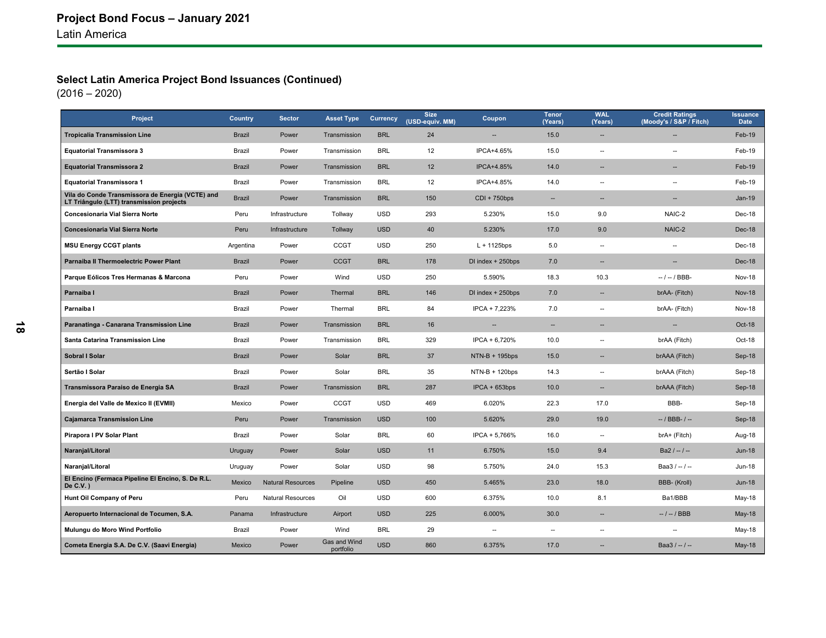### **Select Latin America Project Bond Issuances (Continued)**

| Project                                                                                      | Country       | <b>Sector</b>            | <b>Asset Type</b>         | Currency   | <b>Size</b><br>(USD-equiv. MM) | Coupon            | <b>Tenor</b><br>(Years)  | <b>WAL</b><br>(Years)    | <b>Credit Ratings</b><br>(Moody's / S&P / Fitch) | <b>Issuance</b><br><b>Date</b> |
|----------------------------------------------------------------------------------------------|---------------|--------------------------|---------------------------|------------|--------------------------------|-------------------|--------------------------|--------------------------|--------------------------------------------------|--------------------------------|
| <b>Tropicalia Transmission Line</b>                                                          | <b>Brazil</b> | Power                    | Transmission              | <b>BRL</b> | 24                             |                   | 15.0                     | $\overline{\phantom{a}}$ |                                                  | Feb-19                         |
| <b>Equatorial Transmissora 3</b>                                                             | Brazil        | Power                    | Transmission              | <b>BRL</b> | 12                             | IPCA+4.65%        | 15.0                     | $\overline{\phantom{a}}$ | $\overline{a}$                                   | Feb-19                         |
| <b>Equatorial Transmissora 2</b>                                                             | <b>Brazil</b> | Power                    | Transmission              | <b>BRL</b> | 12                             | IPCA+4.85%        | 14.0                     | $\overline{\phantom{a}}$ | $\overline{\phantom{a}}$                         | Feb-19                         |
| <b>Equatorial Transmissora 1</b>                                                             | Brazil        | Power                    | Transmission              | <b>BRL</b> | 12                             | IPCA+4.85%        | 14.0                     | ۰.                       | $\overline{a}$                                   | Feb-19                         |
| Vila do Conde Transmissora de Energia (VCTE) and<br>LT Triângulo (LTT) transmission projects | Brazil        | Power                    | Transmission              | <b>BRL</b> | 150                            | $CDI + 750bps$    | --                       | $\overline{\phantom{a}}$ | $\overline{\phantom{a}}$                         | $Jan-19$                       |
| Concesionaria Vial Sierra Norte                                                              | Peru          | Infrastructure           | Tollway                   | <b>USD</b> | 293                            | 5.230%            | 15.0                     | 9.0                      | NAIC-2                                           | Dec-18                         |
| Concesionaria Vial Sierra Norte                                                              | Peru          | Infrastructure           | Tollway                   | <b>USD</b> | 40                             | 5.230%            | 17.0                     | 9.0                      | NAIC-2                                           | Dec-18                         |
| <b>MSU Energy CCGT plants</b>                                                                | Argentina     | Power                    | <b>CCGT</b>               | <b>USD</b> | 250                            | $L + 1125$ bps    | 5.0                      | $\overline{\phantom{a}}$ | $\overline{\phantom{a}}$                         | Dec-18                         |
| Parnaiba II Thermoelectric Power Plant                                                       | Brazil        | Power                    | <b>CCGT</b>               | <b>BRL</b> | 178                            | DI index + 250bps | 7.0                      | --                       | $\overline{\phantom{a}}$                         | Dec-18                         |
| Parque Eólicos Tres Hermanas & Marcona                                                       | Peru          | Power                    | Wind                      | <b>USD</b> | 250                            | 5.590%            | 18.3                     | 10.3                     | $-/-$ / BBB-                                     | <b>Nov-18</b>                  |
| Parnaiba I                                                                                   | <b>Brazil</b> | Power                    | Thermal                   | <b>BRL</b> | 146                            | DI index + 250bps | 7.0                      | $\overline{\phantom{a}}$ | brAA- (Fitch)                                    | <b>Nov-18</b>                  |
| Parnaiba I                                                                                   | Brazil        | Power                    | Thermal                   | <b>BRL</b> | 84                             | IPCA + 7,223%     | 7.0                      | $\overline{\phantom{a}}$ | brAA- (Fitch)                                    | <b>Nov-18</b>                  |
| Paranatinga - Canarana Transmission Line                                                     | <b>Brazil</b> | Power                    | Transmission              | <b>BRL</b> | 16                             | н,                | $\overline{\phantom{a}}$ | --                       | --                                               | Oct-18                         |
| Santa Catarina Transmission Line                                                             | Brazil        | Power                    | Transmission              | <b>BRL</b> | 329                            | IPCA + 6,720%     | 10.0                     | $\overline{\phantom{a}}$ | brAA (Fitch)                                     | Oct-18                         |
| Sobral I Solar                                                                               | <b>Brazil</b> | Power                    | Solar                     | <b>BRL</b> | 37                             | $NTN-B + 195bps$  | 15.0                     | --                       | brAAA (Fitch)                                    | Sep-18                         |
| Sertão I Solar                                                                               | Brazil        | Power                    | Solar                     | <b>BRL</b> | 35                             | $NTN-B + 120bps$  | 14.3                     | $\overline{\phantom{a}}$ | brAAA (Fitch)                                    | Sep-18                         |
| Transmissora Paraiso de Energia SA                                                           | <b>Brazil</b> | Power                    | Transmission              | <b>BRL</b> | 287                            | $IPCA + 653bps$   | 10.0                     | ш,                       | brAAA (Fitch)                                    | Sep-18                         |
| Energia del Valle de Mexico II (EVMII)                                                       | Mexico        | Power                    | <b>CCGT</b>               | <b>USD</b> | 469                            | 6.020%            | 22.3                     | 17.0                     | BBB-                                             | Sep-18                         |
| <b>Cajamarca Transmission Line</b>                                                           | Peru          | Power                    | Transmission              | <b>USD</b> | 100                            | 5.620%            | 29.0                     | 19.0                     | $-$ / BBB- / $-$                                 | Sep-18                         |
| Pirapora I PV Solar Plant                                                                    | Brazil        | Power                    | Solar                     | <b>BRL</b> | 60                             | IPCA + 5,766%     | 16.0                     | $\overline{\phantom{a}}$ | brA+ (Fitch)                                     | Aug-18                         |
| Naranjal/Litoral                                                                             | Uruguay       | Power                    | Solar                     | <b>USD</b> | 11                             | 6.750%            | 15.0                     | 9.4                      | $Ba2 / - / -$                                    | $Jun-18$                       |
| Naranjal/Litoral                                                                             | Uruguay       | Power                    | Solar                     | <b>USD</b> | 98                             | 5.750%            | 24.0                     | 15.3                     | Baa3 $/ - / -$                                   | Jun-18                         |
| El Encino (Fermaca Pipeline El Encino, S. De R.L.<br>De C.V. $)$                             | Mexico        | <b>Natural Resources</b> | Pipeline                  | <b>USD</b> | 450                            | 5.465%            | 23.0                     | 18.0                     | BBB- (Kroll)                                     | $Jun-18$                       |
| Hunt Oil Company of Peru                                                                     | Peru          | <b>Natural Resources</b> | Oil                       | <b>USD</b> | 600                            | 6.375%            | 10.0                     | 8.1                      | Ba1/BBB                                          | May-18                         |
| Aeropuerto Internacional de Tocumen, S.A.                                                    | Panama        | Infrastructure           | Airport                   | <b>USD</b> | 225                            | 6.000%            | 30.0                     | $\overline{\phantom{a}}$ | $-1 - 1$ BBB                                     | <b>May-18</b>                  |
| Mulungu do Moro Wind Portfolio                                                               | Brazil        | Power                    | Wind                      | <b>BRL</b> | 29                             | ۰.                | $\overline{\phantom{a}}$ | $\overline{\phantom{a}}$ | $\overline{\phantom{a}}$                         | May-18                         |
| Cometa Energia S.A. De C.V. (Saavi Energia)                                                  | Mexico        | Power                    | Gas and Wind<br>portfolio | <b>USD</b> | 860                            | 6.375%            | 17.0                     |                          | Baa $3/-/$                                       | <b>May-18</b>                  |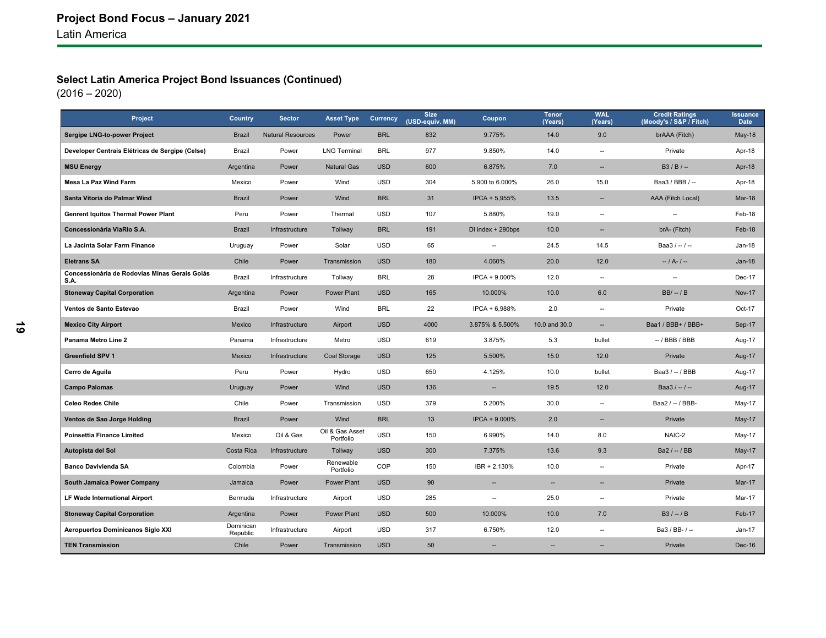### **Select Latin America Project Bond Issuances (Continued)**

| Project                                               | Country               | <b>Sector</b>            | <b>Asset Type</b>            | Currency   | <b>Size</b><br>(USD-equiv. MM) | Coupon                   | <b>Tenor</b><br>(Years)  | <b>WAL</b><br>(Years)    | <b>Credit Ratings</b><br>(Moody's / S&P / Fitch) | <b>Issuance</b><br><b>Date</b> |
|-------------------------------------------------------|-----------------------|--------------------------|------------------------------|------------|--------------------------------|--------------------------|--------------------------|--------------------------|--------------------------------------------------|--------------------------------|
| Sergipe LNG-to-power Project                          | <b>Brazil</b>         | <b>Natural Resources</b> | Power                        | <b>BRL</b> | 832                            | 9.775%                   | 14.0                     | 9.0                      | brAAA (Fitch)                                    | <b>May-18</b>                  |
| Developer Centrais Elétricas de Sergipe (Celse)       | Brazil                | Power                    | <b>LNG Terminal</b>          | <b>BRL</b> | 977                            | 9.850%                   | 14.0                     | --                       | Private                                          | Apr-18                         |
| <b>MSU Energy</b>                                     | Argentina             | Power                    | <b>Natural Gas</b>           | <b>USD</b> | 600                            | 6.875%                   | 7.0                      | $\overline{\phantom{a}}$ | $B3/B/-$                                         | Apr-18                         |
| Mesa La Paz Wind Farm                                 | Mexico                | Power                    | Wind                         | USD        | 304                            | 5.900 to 6.000%          | 26.0                     | 15.0                     | Baa3 / BBB / --                                  | Apr-18                         |
| Santa Vitoria do Palmar Wind                          | <b>Brazil</b>         | Power                    | Wind                         | <b>BRL</b> | 31                             | IPCA + 5,955%            | 13.5                     | --                       | AAA (Fitch Local)                                | Mar-18                         |
| <b>Genrent Iquitos Thermal Power Plant</b>            | Peru                  | Power                    | Thermal                      | <b>USD</b> | 107                            | 5.880%                   | 19.0                     | --                       |                                                  | Feb-18                         |
| Concessionária ViaRio S.A.                            | <b>Brazil</b>         | Infrastructure           | Tollway                      | <b>BRL</b> | 191                            | DI index + 290bps        | 10.0                     | $\overline{\phantom{a}}$ | brA- (Fitch)                                     | Feb-18                         |
| La Jacinta Solar Farm Finance                         | Uruguay               | Power                    | Solar                        | <b>USD</b> | 65                             | --                       | 24.5                     | 14.5                     | Baa $3/-/$                                       | Jan-18                         |
| <b>Eletrans SA</b>                                    | Chile                 | Power                    | Transmission                 | <b>USD</b> | 180                            | 4.060%                   | 20.0                     | 12.0                     | $-1A-1-$                                         | $Jan-18$                       |
| Concessionária de Rodovias Minas Gerais Goiás<br>S.A. | Brazil                | Infrastructure           | Tollway                      | <b>BRL</b> | 28                             | IPCA + 9.000%            | 12.0                     | $\overline{\phantom{a}}$ | $\overline{\phantom{a}}$                         | Dec-17                         |
| <b>Stoneway Capital Corporation</b>                   | Argentina             | Power                    | <b>Power Plant</b>           | <b>USD</b> | 165                            | 10.000%                  | 10.0                     | 6.0                      | $BB/ - / B$                                      | <b>Nov-17</b>                  |
| Ventos de Santo Estevao                               | Brazil                | Power                    | Wind                         | <b>BRL</b> | 22                             | IPCA + 6,988%            | 2.0                      | $\overline{\phantom{a}}$ | Private                                          | Oct-17                         |
| <b>Mexico City Airport</b>                            | Mexico                | Infrastructure           | Airport                      | <b>USD</b> | 4000                           | 3.875% & 5.500%          | 10.0 and 30.0            | $\overline{\phantom{a}}$ | Baa1 / BBB+ / BBB+                               | Sep-17                         |
| Panama Metro Line 2                                   | Panama                | Infrastructure           | Metro                        | <b>USD</b> | 619                            | 3.875%                   | 5.3                      | bullet                   | $-$ / BBB / BBB                                  | Aug-17                         |
| <b>Greenfield SPV 1</b>                               | Mexico                | Infrastructure           | <b>Coal Storage</b>          | <b>USD</b> | 125                            | 5.500%                   | 15.0                     | 12.0                     | Private                                          | Aug-17                         |
| Cerro de Aguila                                       | Peru                  | Power                    | Hydro                        | <b>USD</b> | 650                            | 4.125%                   | 10.0                     | bullet                   | Baa3 / -- / BBB                                  | Aug-17                         |
| <b>Campo Palomas</b>                                  | Uruguay               | Power                    | Wind                         | <b>USD</b> | 136                            |                          | 19.5                     | 12.0                     | Baa $3/-/-$                                      | Aug-17                         |
| <b>Celeo Redes Chile</b>                              | Chile                 | Power                    | Transmission                 | <b>USD</b> | 379                            | 5.200%                   | 30.0                     | $\overline{\phantom{a}}$ | Baa2 / -- / BBB-                                 | May-17                         |
| Ventos de Sao Jorge Holding                           | <b>Brazil</b>         | Power                    | Wind                         | <b>BRL</b> | 13                             | IPCA + 9.000%            | 2.0                      | $\overline{\phantom{a}}$ | Private                                          | <b>May-17</b>                  |
| Poinsettia Finance Limited                            | Mexico                | Oil & Gas                | Oil & Gas Asset<br>Portfolio | <b>USD</b> | 150                            | 6.990%                   | 14.0                     | 8.0                      | NAIC-2                                           | May-17                         |
| Autopista del Sol                                     | Costa Rica            | Infrastructure           | Tollway                      | <b>USD</b> | 300                            | 7.375%                   | 13.6                     | 9.3                      | Ba2 / -- / BB                                    | <b>May-17</b>                  |
| <b>Banco Davivienda SA</b>                            | Colombia              | Power                    | Renewable<br>Portfolio       | COP        | 150                            | IBR + 2.130%             | 10.0                     | --                       | Private                                          | Apr-17                         |
| South Jamaica Power Company                           | Jamaica               | Power                    | <b>Power Plant</b>           | <b>USD</b> | 90                             | $\overline{\phantom{a}}$ | $\overline{\phantom{a}}$ | $\overline{\phantom{a}}$ | Private                                          | Mar-17                         |
| LF Wade International Airport                         | Bermuda               | Infrastructure           | Airport                      | <b>USD</b> | 285                            | --                       | 25.0                     | $\overline{\phantom{a}}$ | Private                                          | Mar-17                         |
| <b>Stoneway Capital Corporation</b>                   | Argentina             | Power                    | <b>Power Plant</b>           | <b>USD</b> | 500                            | 10.000%                  | 10.0                     | 7.0                      | $B3 / - / B$                                     | Feb-17                         |
| Aeropuertos Dominicanos Siglo XXI                     | Dominican<br>Republic | Infrastructure           | Airport                      | <b>USD</b> | 317                            | 6.750%                   | 12.0                     | μ.                       | Ba3 / BB- / --                                   | Jan-17                         |
| <b>TEN Transmission</b>                               | Chile                 | Power                    | Transmission                 | <b>USD</b> | 50                             | --                       | --                       |                          | Private                                          | Dec-16                         |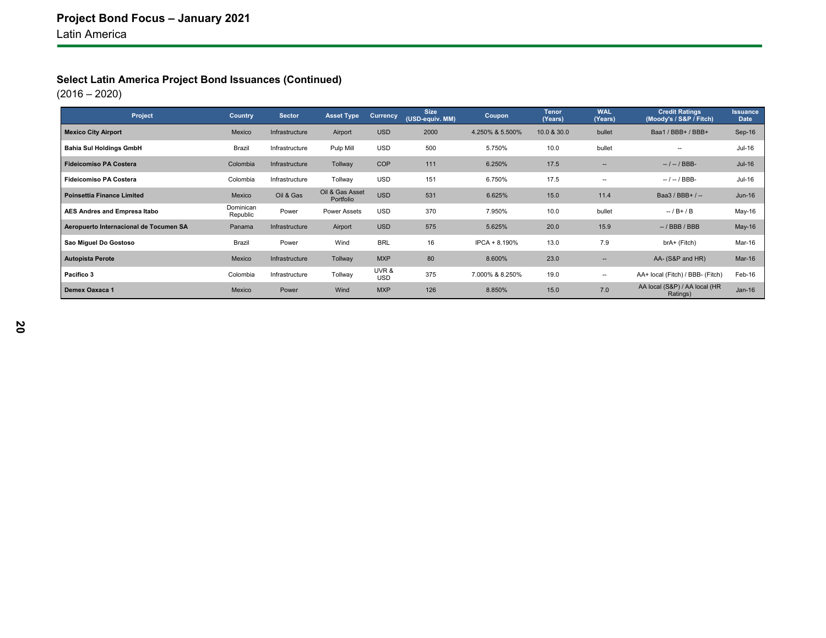### **Select Latin America Project Bond Issuances (Continued)**

| Project                                | <b>Country</b>        | <b>Sector</b>  | <b>Asset Type</b>            | <b>Currency</b>    | <b>Size</b><br>(USD-equiv. MM) | Coupon          | <b>Tenor</b><br>(Years) | <b>WAL</b><br>(Years)    | <b>Credit Ratings</b><br>(Moody's / S&P / Fitch) | <b>Issuance</b><br>Date |
|----------------------------------------|-----------------------|----------------|------------------------------|--------------------|--------------------------------|-----------------|-------------------------|--------------------------|--------------------------------------------------|-------------------------|
| <b>Mexico City Airport</b>             | Mexico                | Infrastructure | Airport                      | <b>USD</b>         | 2000                           | 4.250% & 5.500% | 10.0 & 30.0             | bullet                   | Baa1 / BBB+ / BBB+                               | $Sep-16$                |
| <b>Bahia Sul Holdings GmbH</b>         | Brazil                | Infrastructure | Pulp Mill                    | <b>USD</b>         | 500                            | 5.750%          | 10.0                    | bullet                   | $\overline{\phantom{a}}$                         | Jul-16                  |
| <b>Fideicomiso PA Costera</b>          | Colombia              | Infrastructure | Tollway                      | COP                | 111                            | 6.250%          | 17.5                    | $\overline{\phantom{a}}$ | $-1 - 1$ BBB-                                    | $Jul-16$                |
| <b>Fideicomiso PA Costera</b>          | Colombia              | Infrastructure | Tollway                      | <b>USD</b>         | 151                            | 6.750%          | 17.5                    | $\sim$                   | $-1 - 1$ BBB-                                    | Jul-16                  |
| <b>Poinsettia Finance Limited</b>      | Mexico                | Oil & Gas      | Oil & Gas Asset<br>Portfolio | <b>USD</b>         | 531                            | 6.625%          | 15.0                    | 11.4                     | Baa3 / BBB+ / --                                 | $Jun-16$                |
| AES Andres and Empresa Itabo           | Dominican<br>Republic | Power          | <b>Power Assets</b>          | <b>USD</b>         | 370                            | 7.950%          | 10.0                    | bullet                   | $-$ / B+ / B                                     | May-16                  |
| Aeropuerto Internacional de Tocumen SA | Panama                | Infrastructure | Airport                      | <b>USD</b>         | 575                            | 5.625%          | 20.0                    | 15.9                     | $-$ / BBB / BBB                                  | $May-16$                |
| Sao Miguel Do Gostoso                  | Brazil                | Power          | Wind                         | <b>BRL</b>         | 16                             | IPCA + 8.190%   | 13.0                    | 7.9                      | brA+ (Fitch)                                     | Mar-16                  |
| <b>Autopista Perote</b>                | Mexico                | Infrastructure | Tollway                      | <b>MXP</b>         | 80                             | 8.600%          | 23.0                    | $\overline{\phantom{a}}$ | AA- (S&P and HR)                                 | $Mar-16$                |
| Pacifico 3                             | Colombia              | Infrastructure | Tollway                      | UVR&<br><b>USD</b> | 375                            | 7.000% & 8.250% | 19.0                    | $\overline{\phantom{a}}$ | AA+ local (Fitch) / BBB- (Fitch)                 | Feb-16                  |
| Demex Oaxaca 1                         | Mexico                | Power          | Wind                         | <b>MXP</b>         | 126                            | 8.850%          | 15.0                    | 7.0                      | AA local (S&P) / AA local (HR<br>Ratings)        | $Jan-16$                |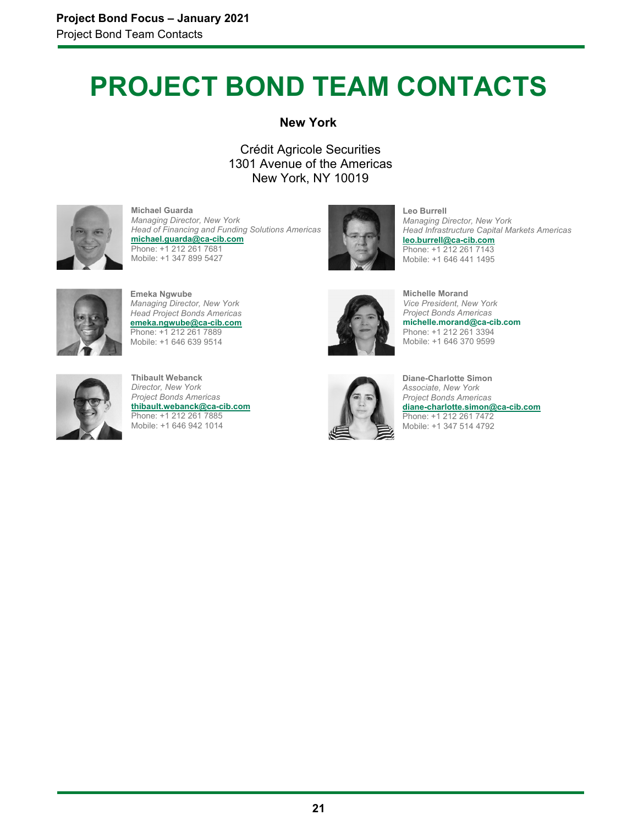# **PROJECT BOND TEAM CONTACTS**

### **New York**

Crédit Agricole Securities 1301 Avenue of the Americas New York, NY 10019



**Michael Guarda** *Managing Director, New York Head of Financing and Funding Solutions Americas* **michael.guarda@ca-cib.com**  Phone: +1 212 261 7681 Mobile: +1 347 899 5427



**Leo Burrell** *Managing Director, New York Head Infrastructure Capital Markets Americas* **leo.burrell@ca-cib.com** Phone: +1 212 261 7143 Mobile: +1 646 441 1495



**Emeka Ngwube** *Managing Director, New York Head Project Bonds Americas* **emeka.ngwube@ca-cib.com** Phone: +1 212 261 7889 Mobile: +1 646 639 9514



**Thibault Webanck** *Director, New York Project Bonds Americas* **thibault.webanck@ca-cib.com** Phone: +1 212 261 7885 Mobile: +1 646 942 1014



**Michelle Morand**  *Vice President, New York Project Bonds Americas* **michelle.morand@ca-cib.com**  Phone: +1 212 261 3394 Mobile: +1 646 370 9599



**Diane-Charlotte Simon** *Associate, New York Project Bonds Americas* **diane-charlotte.simon@ca-cib.com** Phone: +1 212 261 7472 Mobile: +1 347 514 4792